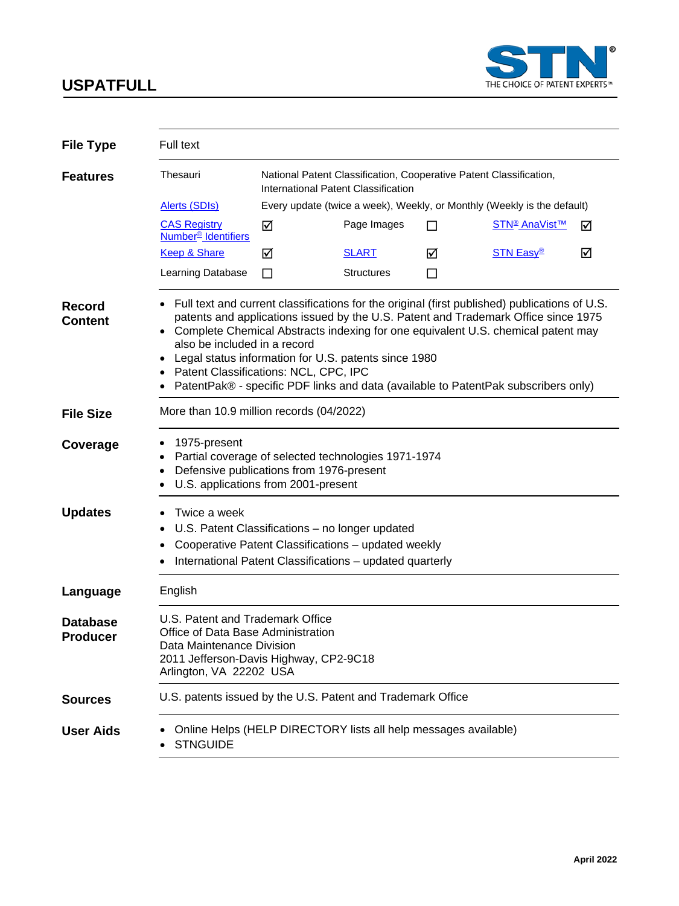

| <b>File Type</b>                | Full text                                                                                                                                                                                                                                                                                                                                                                                                                                                                                        |                                                                                                           |                   |   |                                                                         |   |
|---------------------------------|--------------------------------------------------------------------------------------------------------------------------------------------------------------------------------------------------------------------------------------------------------------------------------------------------------------------------------------------------------------------------------------------------------------------------------------------------------------------------------------------------|-----------------------------------------------------------------------------------------------------------|-------------------|---|-------------------------------------------------------------------------|---|
| <b>Features</b>                 | Thesauri                                                                                                                                                                                                                                                                                                                                                                                                                                                                                         | National Patent Classification, Cooperative Patent Classification,<br>International Patent Classification |                   |   |                                                                         |   |
|                                 | Alerts (SDIs)                                                                                                                                                                                                                                                                                                                                                                                                                                                                                    |                                                                                                           |                   |   | Every update (twice a week), Weekly, or Monthly (Weekly is the default) |   |
|                                 | <b>CAS Registry</b><br>Number <sup>®</sup> Identifiers                                                                                                                                                                                                                                                                                                                                                                                                                                           | ☑                                                                                                         | Page Images       | П | STN <sup>®</sup> AnaVist™                                               | ☑ |
|                                 | <b>Keep &amp; Share</b>                                                                                                                                                                                                                                                                                                                                                                                                                                                                          | ☑                                                                                                         | <b>SLART</b>      | ☑ | <b>STN Easy®</b>                                                        | ☑ |
|                                 | Learning Database                                                                                                                                                                                                                                                                                                                                                                                                                                                                                | П                                                                                                         | <b>Structures</b> | П |                                                                         |   |
| <b>Record</b><br><b>Content</b> | Full text and current classifications for the original (first published) publications of U.S.<br>patents and applications issued by the U.S. Patent and Trademark Office since 1975<br>• Complete Chemical Abstracts indexing for one equivalent U.S. chemical patent may<br>also be included in a record<br>Legal status information for U.S. patents since 1980<br>Patent Classifications: NCL, CPC, IPC<br>PatentPak® - specific PDF links and data (available to PatentPak subscribers only) |                                                                                                           |                   |   |                                                                         |   |
| <b>File Size</b>                | More than 10.9 million records (04/2022)                                                                                                                                                                                                                                                                                                                                                                                                                                                         |                                                                                                           |                   |   |                                                                         |   |
| Coverage                        | 1975-present<br>Partial coverage of selected technologies 1971-1974<br>Defensive publications from 1976-present<br>U.S. applications from 2001-present                                                                                                                                                                                                                                                                                                                                           |                                                                                                           |                   |   |                                                                         |   |
| <b>Updates</b>                  | Twice a week<br>U.S. Patent Classifications - no longer updated<br>٠<br>Cooperative Patent Classifications - updated weekly<br>International Patent Classifications - updated quarterly                                                                                                                                                                                                                                                                                                          |                                                                                                           |                   |   |                                                                         |   |
| Language                        | English                                                                                                                                                                                                                                                                                                                                                                                                                                                                                          |                                                                                                           |                   |   |                                                                         |   |
| <b>Database</b><br>Producer     | U.S. Patent and Trademark Office<br>Office of Data Base Administration<br>Data Maintenance Division<br>2011 Jefferson-Davis Highway, CP2-9C18<br>Arlington, VA 22202 USA                                                                                                                                                                                                                                                                                                                         |                                                                                                           |                   |   |                                                                         |   |
| <b>Sources</b>                  | U.S. patents issued by the U.S. Patent and Trademark Office                                                                                                                                                                                                                                                                                                                                                                                                                                      |                                                                                                           |                   |   |                                                                         |   |
| <b>User Aids</b>                | Online Helps (HELP DIRECTORY lists all help messages available)<br><b>STNGUIDE</b>                                                                                                                                                                                                                                                                                                                                                                                                               |                                                                                                           |                   |   |                                                                         |   |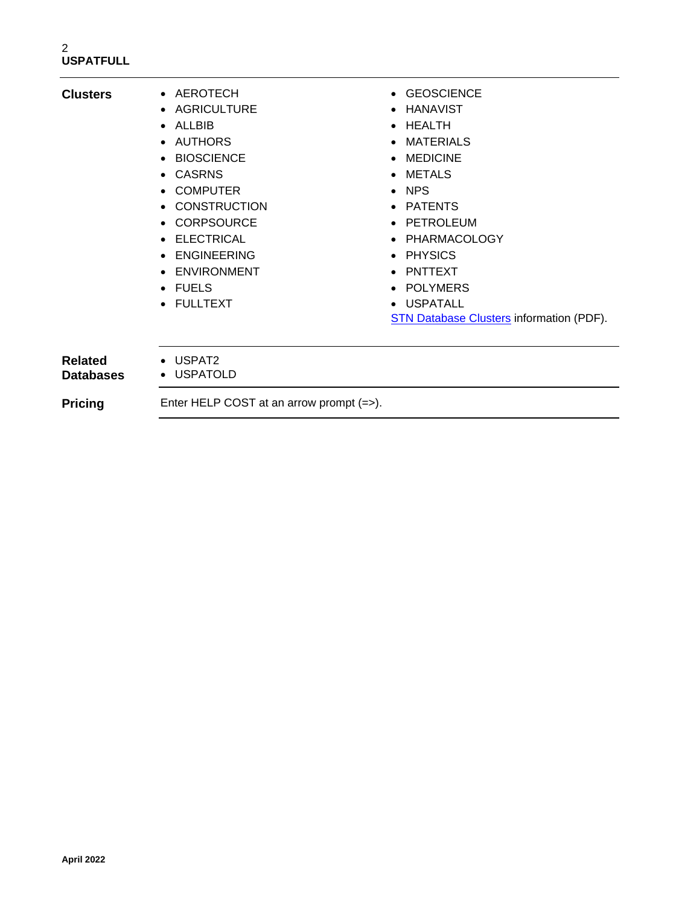| <b>Clusters</b>                    | • AEROTECH<br>• AGRICULTURE<br>$\bullet$ ALLBIB<br>AUTHORS<br>$\bullet$<br><b>BIOSCIENCE</b><br>$\bullet$<br><b>CASRNS</b><br>$\bullet$<br><b>COMPUTER</b><br>$\bullet$<br>• CONSTRUCTION<br><b>CORPSOURCE</b><br>$\bullet$<br>ELECTRICAL<br>$\bullet$<br><b>ENGINEERING</b><br>$\bullet$<br>ENVIRONMENT<br>$\bullet$<br>$\bullet$ FUELS<br>• FULLTEXT | • GEOSCIENCE<br>HANAVIST<br>$\bullet$<br>• HEALTH<br>MATERIALS<br>• MEDICINE<br>• METALS<br>$\bullet$ NPS<br>• PATENTS<br>PETROLEUM<br>$\bullet$<br>• PHARMACOLOGY<br>• PHYSICS<br>PNTTEXT<br>POLYMERS<br>$\bullet$<br>• USPATALL<br><b>STN Database Clusters information (PDF).</b> |
|------------------------------------|--------------------------------------------------------------------------------------------------------------------------------------------------------------------------------------------------------------------------------------------------------------------------------------------------------------------------------------------------------|--------------------------------------------------------------------------------------------------------------------------------------------------------------------------------------------------------------------------------------------------------------------------------------|
| <b>Related</b><br><b>Databases</b> | • USPAT2<br>• USPATOLD                                                                                                                                                                                                                                                                                                                                 |                                                                                                                                                                                                                                                                                      |
| <b>Pricing</b>                     | Enter HELP COST at an arrow prompt $(=)$ .                                                                                                                                                                                                                                                                                                             |                                                                                                                                                                                                                                                                                      |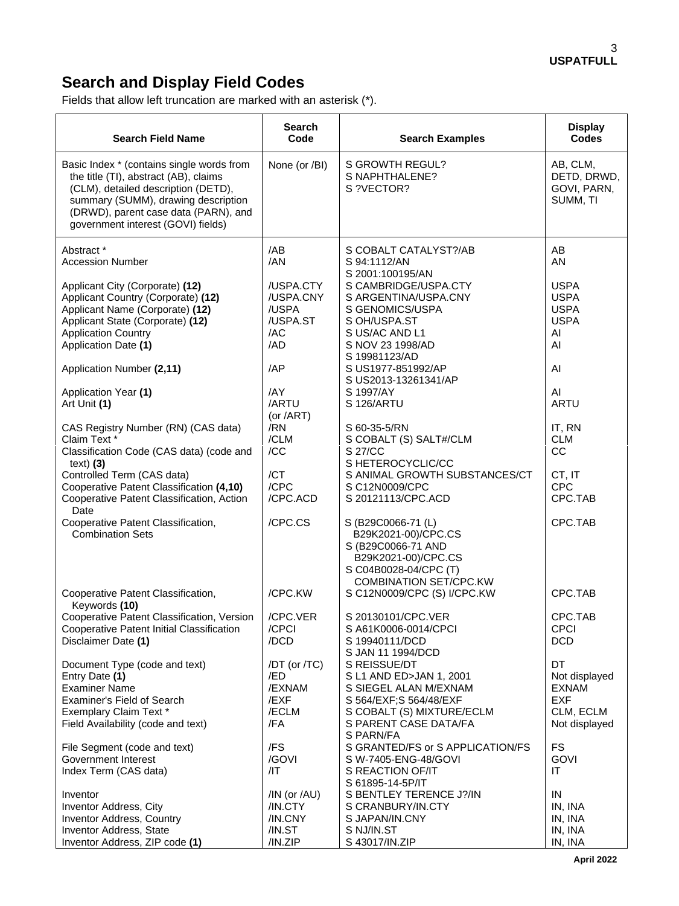# **Search and Display Field Codes**

Fields that allow left truncation are marked with an asterisk (\*).

| <b>Search Field Name</b>                                                                                                                                                                                                                       | <b>Search</b><br>Code                                     | <b>Search Examples</b>                                                                                                                                         | <b>Display</b><br><b>Codes</b>                                                  |
|------------------------------------------------------------------------------------------------------------------------------------------------------------------------------------------------------------------------------------------------|-----------------------------------------------------------|----------------------------------------------------------------------------------------------------------------------------------------------------------------|---------------------------------------------------------------------------------|
| Basic Index * (contains single words from<br>the title (TI), abstract (AB), claims<br>(CLM), detailed description (DETD),<br>summary (SUMM), drawing description<br>(DRWD), parent case data (PARN), and<br>government interest (GOVI) fields) | None (or /BI)                                             | S GROWTH REGUL?<br>S NAPHTHALENE?<br>S?VECTOR?                                                                                                                 | AB, CLM,<br>DETD, DRWD,<br>GOVI, PARN,<br>SUMM, TI                              |
| Abstract *<br><b>Accession Number</b>                                                                                                                                                                                                          | /AB<br>/AN                                                | S COBALT CATALYST?/AB<br>S 94:1112/AN<br>S 2001:100195/AN                                                                                                      | AB<br><b>AN</b>                                                                 |
| Applicant City (Corporate) (12)<br>Applicant Country (Corporate) (12)<br>Applicant Name (Corporate) (12)<br>Applicant State (Corporate) (12)<br><b>Application Country</b><br>Application Date (1)                                             | /USPA.CTY<br>/USPA.CNY<br>/USPA<br>/USPA.ST<br>/AC<br>/AD | S CAMBRIDGE/USPA.CTY<br>S ARGENTINA/USPA.CNY<br>S GENOMICS/USPA<br>S OH/USPA.ST<br>S US/AC AND L1<br>S NOV 23 1998/AD                                          | <b>USPA</b><br><b>USPA</b><br><b>USPA</b><br><b>USPA</b><br>AI<br>AI            |
| Application Number (2,11)                                                                                                                                                                                                                      | /AP                                                       | S 19981123/AD<br>S US1977-851992/AP<br>S US2013-13261341/AP                                                                                                    | AI                                                                              |
| Application Year (1)<br>Art Unit (1)                                                                                                                                                                                                           | /AY<br>/ARTU<br>(or /ART)                                 | S 1997/AY<br>S 126/ARTU                                                                                                                                        | AI<br><b>ARTU</b>                                                               |
| CAS Registry Number (RN) (CAS data)<br>Claim Text *<br>Classification Code (CAS data) (code and<br>text) $(3)$<br>Controlled Term (CAS data)<br>Cooperative Patent Classification (4,10)<br>Cooperative Patent Classification, Action          | /RN<br>/CLM<br>/CC<br>/CT<br>/CPC<br>/CPC.ACD             | S 60-35-5/RN<br>S COBALT (S) SALT#/CLM<br>S 27/CC<br>S HETEROCYCLIC/CC<br>S ANIMAL GROWTH SUBSTANCES/CT<br>S C12N0009/CPC<br>S 20121113/CPC.ACD                | IT, RN<br><b>CLM</b><br>CC<br>CT, IT<br><b>CPC</b><br>CPC.TAB                   |
| Date<br>Cooperative Patent Classification,<br><b>Combination Sets</b>                                                                                                                                                                          | /CPC.CS                                                   | S (B29C0066-71 (L)<br>B29K2021-00)/CPC.CS<br>S (B29C0066-71 AND<br>B29K2021-00)/CPC.CS<br>S C04B0028-04/CPC (T)<br><b>COMBINATION SET/CPC.KW</b>               | CPC.TAB                                                                         |
| Cooperative Patent Classification,<br>Keywords (10)                                                                                                                                                                                            | /CPC.KW                                                   | S C12N0009/CPC (S) I/CPC.KW                                                                                                                                    | CPC.TAB                                                                         |
| Cooperative Patent Classification, Version<br>Cooperative Patent Initial Classification<br>Disclaimer Date (1)                                                                                                                                 | /CPC.VER<br>/CPCI<br>/DCD                                 | S 20130101/CPC.VER<br>S A61K0006-0014/CPCI<br>S 19940111/DCD<br>S JAN 11 1994/DCD                                                                              | CPC.TAB<br>CPCI<br><b>DCD</b>                                                   |
| Document Type (code and text)<br>Entry Date (1)<br><b>Examiner Name</b><br>Examiner's Field of Search<br>Exemplary Claim Text *<br>Field Availability (code and text)                                                                          | /DT (or /TC)<br>/ED<br>/EXNAM<br>/EXF<br>/ECLM<br>/FA     | S REISSUE/DT<br>S L1 AND ED>JAN 1, 2001<br>S SIEGEL ALAN M/EXNAM<br>S 564/EXF; S 564/48/EXF<br>S COBALT (S) MIXTURE/ECLM<br>S PARENT CASE DATA/FA<br>S PARN/FA | DT<br>Not displayed<br><b>EXNAM</b><br><b>EXF</b><br>CLM, ECLM<br>Not displayed |
| File Segment (code and text)<br>Government Interest<br>Index Term (CAS data)                                                                                                                                                                   | /FS<br>/GOVI<br>/IT                                       | S GRANTED/FS or S APPLICATION/FS<br>S W-7405-ENG-48/GOVI<br>S REACTION OF/IT<br>S 61895-14-5P/IT                                                               | <b>FS</b><br>GOVI<br>ΙT                                                         |
| Inventor<br>Inventor Address, City<br>Inventor Address, Country<br>Inventor Address, State<br>Inventor Address, ZIP code (1)                                                                                                                   | /IN (or /AU)<br>/IN.CTY<br>/IN.CNY<br>/IN.ST<br>/IN.ZIP   | S BENTLEY TERENCE J?/IN<br>S CRANBURY/IN.CTY<br>S JAPAN/IN.CNY<br>S NJ/IN.ST<br>S 43017/IN.ZIP                                                                 | IN<br>IN, INA<br>IN, INA<br>IN, INA<br>IN, INA                                  |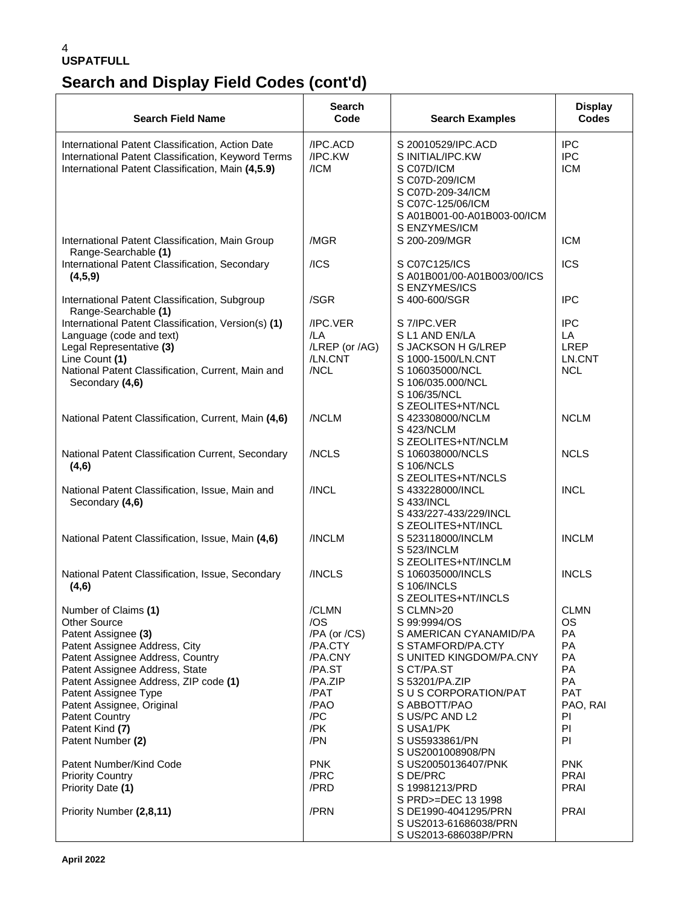# **Search and Display Field Codes (cont'd)**

| <b>Search Field Name</b>                                                                                                                                                                              | Search<br>Code                                       | <b>Search Examples</b>                                                                                                                                           | <b>Display</b><br>Codes                                 |
|-------------------------------------------------------------------------------------------------------------------------------------------------------------------------------------------------------|------------------------------------------------------|------------------------------------------------------------------------------------------------------------------------------------------------------------------|---------------------------------------------------------|
| International Patent Classification, Action Date<br>International Patent Classification, Keyword Terms<br>International Patent Classification, Main (4,5.9)                                           | /IPC.ACD<br>/IPC.KW<br>/ICM                          | S 20010529/IPC.ACD<br>S INITIAL/IPC.KW<br>S C07D/ICM<br>S C07D-209/ICM<br>S C07D-209-34/ICM<br>S C07C-125/06/ICM<br>S A01B001-00-A01B003-00/ICM<br>S ENZYMES/ICM | <b>IPC</b><br><b>IPC</b><br><b>ICM</b>                  |
| International Patent Classification, Main Group<br>Range-Searchable (1)                                                                                                                               | /MGR                                                 | S 200-209/MGR                                                                                                                                                    | <b>ICM</b>                                              |
| International Patent Classification, Secondary<br>(4,5,9)                                                                                                                                             | /ICS                                                 | S C07C125/ICS<br>S A01B001/00-A01B003/00/ICS<br>S ENZYMES/ICS                                                                                                    | <b>ICS</b>                                              |
| International Patent Classification, Subgroup<br>Range-Searchable (1)                                                                                                                                 | /SGR                                                 | S 400-600/SGR                                                                                                                                                    | <b>IPC</b>                                              |
| International Patent Classification, Version(s) (1)<br>Language (code and text)<br>Legal Representative (3)<br>Line Count (1)<br>National Patent Classification, Current, Main and<br>Secondary (4,6) | /IPC.VER<br>/LA<br>/LREP (or /AG)<br>/LN.CNT<br>/NCL | S 7/IPC.VER<br>SL1 AND EN/LA<br>S JACKSON H G/LREP<br>S 1000-1500/LN.CNT<br>S 106035000/NCL<br>S 106/035.000/NCL<br>S 106/35/NCL<br>S ZEOLITES+NT/NCL            | <b>IPC</b><br>LA<br><b>LREP</b><br>LN.CNT<br><b>NCL</b> |
| National Patent Classification, Current, Main (4,6)                                                                                                                                                   | /NCLM                                                | S 423308000/NCLM<br>S 423/NCLM<br>S ZEOLITES+NT/NCLM                                                                                                             | <b>NCLM</b>                                             |
| National Patent Classification Current, Secondary<br>(4,6)                                                                                                                                            | /NCLS                                                | S 106038000/NCLS<br>S 106/NCLS<br>S ZEOLITES+NT/NCLS                                                                                                             | <b>NCLS</b>                                             |
| National Patent Classification, Issue, Main and<br>Secondary (4,6)                                                                                                                                    | /INCL                                                | S 433228000/INCL<br>S 433/INCL<br>S 433/227-433/229/INCL<br>S ZEOLITES+NT/INCL                                                                                   | <b>INCL</b>                                             |
| National Patent Classification, Issue, Main (4,6)                                                                                                                                                     | /INCLM                                               | S 523118000/INCLM<br>S 523/INCLM<br>S ZEOLITES+NT/INCLM                                                                                                          | <b>INCLM</b>                                            |
| National Patent Classification, Issue, Secondary<br>(4,6)                                                                                                                                             | /INCLS                                               | S 106035000/INCLS<br>S 106/INCLS<br>S ZEOLITES+NT/INCLS                                                                                                          | <b>INCLS</b>                                            |
| Number of Claims (1)                                                                                                                                                                                  | /CLMN                                                | S CLMN>20                                                                                                                                                        | <b>CLMN</b>                                             |
| <b>Other Source</b>                                                                                                                                                                                   | /OS                                                  | S 99:9994/OS                                                                                                                                                     | <b>OS</b>                                               |
| Patent Assignee (3)<br>Patent Assignee Address, City                                                                                                                                                  | /PA (or /CS)<br>/PA.CTY                              | S AMERICAN CYANAMID/PA<br>S STAMFORD/PA.CTY                                                                                                                      | PA<br><b>PA</b>                                         |
| Patent Assignee Address, Country                                                                                                                                                                      | /PA.CNY                                              | S UNITED KINGDOM/PA.CNY                                                                                                                                          | PA                                                      |
| Patent Assignee Address, State                                                                                                                                                                        | /PA.ST                                               | S CT/PA.ST                                                                                                                                                       | PA                                                      |
| Patent Assignee Address, ZIP code (1)                                                                                                                                                                 | /PA.ZIP                                              | S 53201/PA.ZIP                                                                                                                                                   | <b>PA</b>                                               |
| Patent Assignee Type                                                                                                                                                                                  | /PAT                                                 | S U S CORPORATION/PAT                                                                                                                                            | <b>PAT</b>                                              |
| Patent Assignee, Original                                                                                                                                                                             | /PAO                                                 | S ABBOTT/PAO                                                                                                                                                     | PAO, RAI                                                |
| <b>Patent Country</b>                                                                                                                                                                                 | /PC                                                  | S US/PC AND L2                                                                                                                                                   | PI                                                      |
| Patent Kind (7)                                                                                                                                                                                       | /PK                                                  | S USA1/PK                                                                                                                                                        | PI                                                      |
| Patent Number (2)                                                                                                                                                                                     | /PN                                                  | S US5933861/PN<br>S US2001008908/PN                                                                                                                              | PI                                                      |
| Patent Number/Kind Code                                                                                                                                                                               | <b>PNK</b>                                           | S US20050136407/PNK                                                                                                                                              | <b>PNK</b>                                              |
| <b>Priority Country</b>                                                                                                                                                                               | /PRC                                                 | S DE/PRC                                                                                                                                                         | <b>PRAI</b>                                             |
| Priority Date (1)                                                                                                                                                                                     | /PRD                                                 | S 19981213/PRD<br>S PRD>=DEC 13 1998                                                                                                                             | <b>PRAI</b>                                             |
| Priority Number (2,8,11)                                                                                                                                                                              | /PRN                                                 | S DE1990-4041295/PRN<br>S US2013-61686038/PRN<br>S US2013-686038P/PRN                                                                                            | <b>PRAI</b>                                             |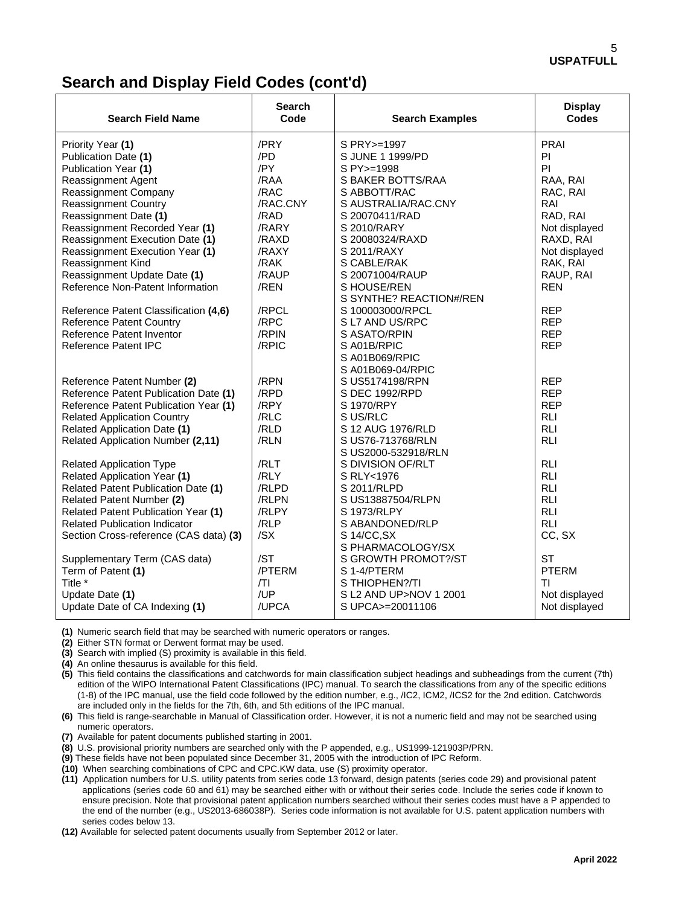## **Search and Display Field Codes (cont'd)**

| <b>Search Field Name</b>                   | <b>Search</b><br>Code | <b>Search Examples</b>  | <b>Display</b><br>Codes |
|--------------------------------------------|-----------------------|-------------------------|-------------------------|
| Priority Year (1)                          | /PRY                  | S PRY >=1997            | PRAI                    |
| Publication Date (1)                       | /PD                   | S JUNE 1 1999/PD        | PI                      |
| Publication Year (1)                       | /PY                   | S PY >=1998             | PI.                     |
| <b>Reassignment Agent</b>                  | /RAA                  | S BAKER BOTTS/RAA       | RAA, RAI                |
| <b>Reassignment Company</b>                | /RAC                  | S ABBOTT/RAC            | RAC, RAI                |
| <b>Reassignment Country</b>                | /RAC.CNY              | S AUSTRALIA/RAC.CNY     | RAI                     |
| Reassignment Date (1)                      | /RAD                  | S 20070411/RAD          | RAD, RAI                |
| Reassignment Recorded Year (1)             | /RARY                 | S 2010/RARY             | Not displayed           |
| Reassignment Execution Date (1)            | /RAXD                 | S 20080324/RAXD         | RAXD, RAI               |
| Reassignment Execution Year (1)            | /RAXY                 | S 2011/RAXY             | Not displayed           |
| Reassignment Kind                          | /RAK                  | S CABLE/RAK             | RAK, RAI                |
| Reassignment Update Date (1)               | /RAUP                 | S 20071004/RAUP         | RAUP, RAI               |
| Reference Non-Patent Information           | /REN                  | S HOUSE/REN             | <b>REN</b>              |
|                                            |                       | S SYNTHE? REACTION#/REN |                         |
| Reference Patent Classification (4,6)      | /RPCL                 | S 100003000/RPCL        | <b>REP</b>              |
| <b>Reference Patent Country</b>            | /RPC                  | S L7 AND US/RPC         | <b>REP</b>              |
| Reference Patent Inventor                  | /RPIN                 | S ASATO/RPIN            | <b>REP</b>              |
| <b>Reference Patent IPC</b>                | /RPIC                 | S A01B/RPIC             | <b>REP</b>              |
|                                            |                       | SA01B069/RPIC           |                         |
|                                            |                       | S A01B069-04/RPIC       |                         |
| Reference Patent Number (2)                | /RPN                  | S US5174198/RPN         | <b>REP</b>              |
| Reference Patent Publication Date (1)      | /RPD                  | S DEC 1992/RPD          | <b>REP</b>              |
| Reference Patent Publication Year (1)      | /RPY                  | S 1970/RPY              | <b>REP</b>              |
| <b>Related Application Country</b>         | /RLC                  | S US/RLC                | <b>RLI</b>              |
| <b>Related Application Date (1)</b>        | /RLD                  | S 12 AUG 1976/RLD       | <b>RLI</b>              |
| Related Application Number (2,11)          | /RLN                  | S US76-713768/RLN       | <b>RLI</b>              |
|                                            |                       | S US2000-532918/RLN     |                         |
| <b>Related Application Type</b>            | /RLT                  | S DIVISION OF/RLT       | <b>RLI</b>              |
| Related Application Year (1)               | /RLY                  | S RLY<1976              | <b>RLI</b>              |
| Related Patent Publication Date (1)        | /RLPD                 | S 2011/RLPD             | <b>RLI</b>              |
| Related Patent Number (2)                  | /RLPN                 | S US13887504/RLPN       | <b>RLI</b>              |
| <b>Related Patent Publication Year (1)</b> | /RLPY                 | S 1973/RLPY             | <b>RLI</b>              |
| <b>Related Publication Indicator</b>       | /RLP                  | S ABANDONED/RLP         | <b>RLI</b>              |
| Section Cross-reference (CAS data) (3)     | /SX                   | S 14/CC, SX             | CC, SX                  |
|                                            |                       | S PHARMACOLOGY/SX       |                         |
| Supplementary Term (CAS data)              | /ST                   | S GROWTH PROMOT?/ST     | <b>ST</b>               |
| Term of Patent (1)                         | /PTERM                | S 1-4/PTERM             | <b>PTERM</b>            |
| Title *                                    | /TI                   | S THIOPHEN?/TI          | ΤI                      |
| Update Date (1)                            | /UP                   | S L2 AND UP>NOV 1 2001  | Not displayed           |
| Update Date of CA Indexing (1)             | /UPCA                 | S UPCA>=20011106        | Not displayed           |

**(1)** Numeric search field that may be searched with numeric operators or ranges.

**(2)** Either STN format or Derwent format may be used.

**(3)** Search with implied (S) proximity is available in this field.

**(4)** An online thesaurus is available for this field.

**(5)** This field contains the classifications and catchwords for main classification subject headings and subheadings from the current (7th) edition of the WIPO International Patent Classifications (IPC) manual. To search the classifications from any of the specific editions (1-8) of the IPC manual, use the field code followed by the edition number, e.g., /IC2, ICM2, /ICS2 for the 2nd edition. Catchwords are included only in the fields for the 7th, 6th, and 5th editions of the IPC manual.

**(6)** This field is range-searchable in Manual of Classification order. However, it is not a numeric field and may not be searched using numeric operators.

**(7)** Available for patent documents published starting in 2001.

**(8)** U.S. provisional priority numbers are searched only with the P appended, e.g., US1999-121903P/PRN.

**(9)** These fields have not been populated since December 31, 2005 with the introduction of IPC Reform.

**(10)** When searching combinations of CPC and CPC.KW data, use (S) proximity operator.

**(11)** Application numbers for U.S. utility patents from series code 13 forward, design patents (series code 29) and provisional patent applications (series code 60 and 61) may be searched either with or without their series code. Include the series code if known to ensure precision. Note that provisional patent application numbers searched without their series codes must have a P appended to the end of the number (e.g., US2013-686038P). Series code information is not available for U.S. patent application numbers with series codes below 13.

**(12)** Available for selected patent documents usually from September 2012 or later.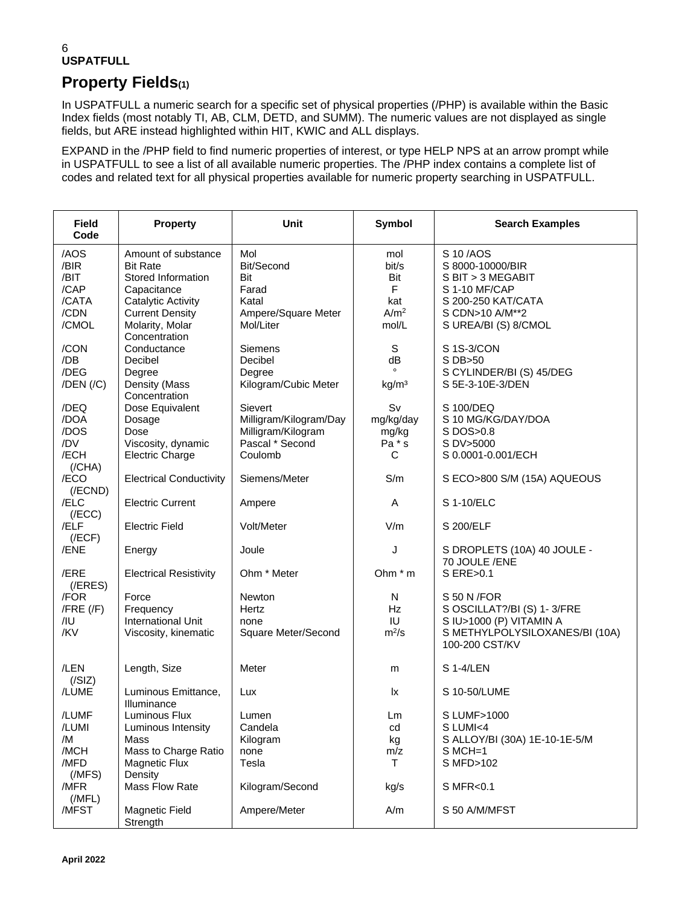## **Property Fields(1)**

In USPATFULL a numeric search for a specific set of physical properties (/PHP) is available within the Basic Index fields (most notably TI, AB, CLM, DETD, and SUMM). The numeric values are not displayed as single fields, but ARE instead highlighted within HIT, KWIC and ALL displays.

EXPAND in the /PHP field to find numeric properties of interest, or type HELP NPS at an arrow prompt while in USPATFULL to see a list of all available numeric properties. The /PHP index contains a complete list of codes and related text for all physical properties available for numeric property searching in USPATFULL.

| <b>Field</b><br>Code                          | <b>Property</b>                                                                                        | <b>Unit</b>                                                                                  | Symbol                                  | <b>Search Examples</b>                                                                                                    |
|-----------------------------------------------|--------------------------------------------------------------------------------------------------------|----------------------------------------------------------------------------------------------|-----------------------------------------|---------------------------------------------------------------------------------------------------------------------------|
| /AOS<br>/BIR<br>/BIT<br>/CAP<br>/CATA         | Amount of substance<br><b>Bit Rate</b><br>Stored Information<br>Capacitance<br>Catalytic Activity      | Mol<br>Bit/Second<br>Bit<br>Farad<br>Katal                                                   | mol<br>bit/s<br>Bit<br>F<br>kat         | S 10/AOS<br>S 8000-10000/BIR<br>S BIT > 3 MEGABIT<br>S 1-10 MF/CAP<br>S 200-250 KAT/CATA                                  |
| /CDN<br>/CMOL                                 | <b>Current Density</b><br>Molarity, Molar<br>Concentration                                             | Ampere/Square Meter<br>Mol/Liter                                                             | A/m <sup>2</sup><br>mol/L               | S CDN>10 A/M**2<br>S UREA/BI (S) 8/CMOL                                                                                   |
| /CON<br>/DB<br>/DEG                           | Conductance<br>Decibel<br>Degree                                                                       | Siemens<br>Decibel<br>Degree                                                                 | S<br>dB                                 | S 1S-3/CON<br>S DB>50<br>S CYLINDER/BI (S) 45/DEG                                                                         |
| $/$ DEN $/$ $/$ C $)$                         | Density (Mass<br>Concentration                                                                         | Kilogram/Cubic Meter                                                                         | kg/m <sup>3</sup>                       | S 5E-3-10E-3/DEN                                                                                                          |
| /DEQ<br>/DOA<br>/DOS<br>/DV<br>/ECH           | Dose Equivalent<br>Dosage<br>Dose<br>Viscosity, dynamic<br><b>Electric Charge</b>                      | <b>Sievert</b><br>Milligram/Kilogram/Day<br>Milligram/Kilogram<br>Pascal * Second<br>Coulomb | Sv<br>mg/kg/day<br>mg/kg<br>Pa * s<br>С | S 100/DEQ<br>S 10 MG/KG/DAY/DOA<br>S DOS>0.8<br>S DV>5000<br>S 0.0001-0.001/ECH                                           |
| (/CHA)<br>/ECO<br>$($ /ECND $)$               | <b>Electrical Conductivity</b>                                                                         | Siemens/Meter                                                                                | S/m                                     | S ECO>800 S/M (15A) AQUEOUS                                                                                               |
| /ELC<br>(/ECC)                                | <b>Electric Current</b>                                                                                | Ampere                                                                                       | Α                                       | S 1-10/ELC                                                                                                                |
| /ELF<br>(/ECF)                                | <b>Electric Field</b>                                                                                  | Volt/Meter                                                                                   | V/m                                     | S 200/ELF                                                                                                                 |
| /ENE                                          | Energy                                                                                                 | Joule                                                                                        | J                                       | S DROPLETS (10A) 40 JOULE -<br>70 JOULE /ENE                                                                              |
| /ERE<br>$($ /ERES $)$                         | <b>Electrical Resistivity</b>                                                                          | Ohm * Meter                                                                                  | Ohm $*$ m                               | S ERE>0.1                                                                                                                 |
| /FOR<br>$/$ FRE $($ /F $)$<br>/IU<br>/KV      | Force<br>Frequency<br>International Unit<br>Viscosity, kinematic                                       | Newton<br>Hertz<br>none<br>Square Meter/Second                                               | N<br><b>Hz</b><br>IU<br>$m^2/s$         | S 50 N / FOR<br>S OSCILLAT?/BI (S) 1-3/FRE<br>S IU>1000 (P) VITAMIN A<br>S METHYLPOLYSILOXANES/BI (10A)<br>100-200 CST/KV |
| /LEN<br>(/SIZ)                                | Length, Size                                                                                           | Meter                                                                                        | m                                       | S 1-4/LEN                                                                                                                 |
| /LUME                                         | Luminous Emittance,<br>Illuminance                                                                     | Lux                                                                                          | lx                                      | S 10-50/LUME                                                                                                              |
| /LUMF<br>/LUMI<br>/M<br>/MCH<br>/MFD<br>(MFS) | Luminous Flux<br>Luminous Intensity<br>Mass<br>Mass to Charge Ratio<br><b>Magnetic Flux</b><br>Density | Lumen<br>Candela<br>Kilogram<br>none<br>Tesla                                                | Lm<br>cd<br>kg<br>m/z<br>Τ              | S LUMF>1000<br>S LUMI<4<br>S ALLOY/BI (30A) 1E-10-1E-5/M<br>$S$ MCH=1<br>S MFD>102                                        |
| /MFR<br>(MFL)                                 | Mass Flow Rate                                                                                         | Kilogram/Second                                                                              | kg/s                                    | S MFR<0.1                                                                                                                 |
| /MFST                                         | Magnetic Field<br>Strength                                                                             | Ampere/Meter                                                                                 | A/m                                     | S 50 A/M/MFST                                                                                                             |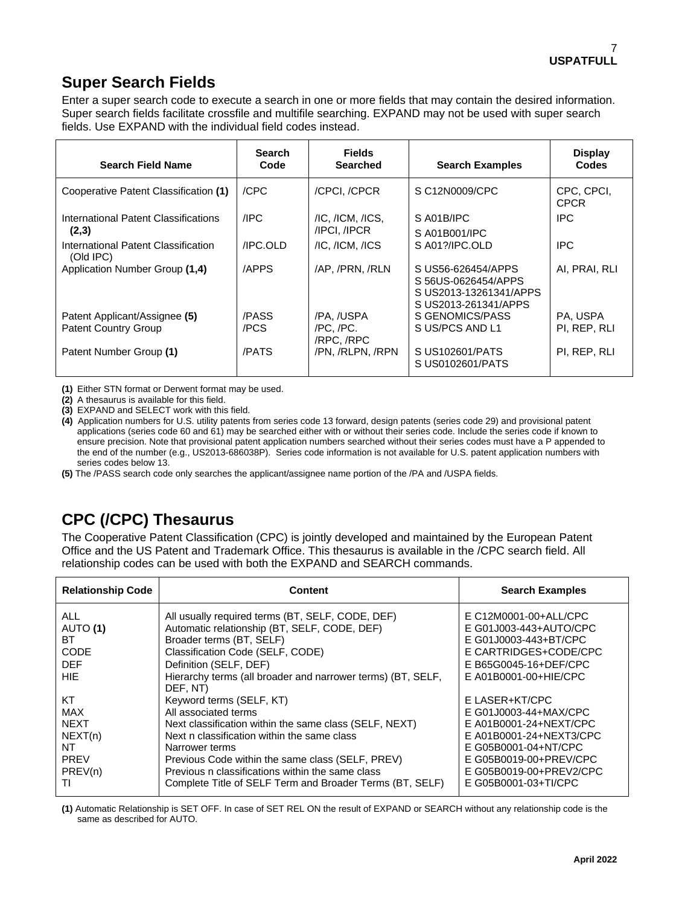## **Super Search Fields**

Enter a super search code to execute a search in one or more fields that may contain the desired information. Super search fields facilitate crossfile and multifile searching. EXPAND may not be used with super search fields. Use EXPAND with the individual field codes instead.

| <b>Search Field Name</b>                         | <b>Search</b><br>Code | <b>Fields</b><br><b>Searched</b> | <b>Search Examples</b>                                                                      | <b>Display</b><br>Codes   |
|--------------------------------------------------|-----------------------|----------------------------------|---------------------------------------------------------------------------------------------|---------------------------|
| Cooperative Patent Classification (1)            | /CPC                  | /CPCI./CPCR                      | S C12N0009/CPC                                                                              | CPC, CPCI,<br><b>CPCR</b> |
| International Patent Classifications             | /IPC                  | $/IC$ , $/ICM$ , $/ICS$ ,        | SA01B/IPC                                                                                   | <b>IPC</b>                |
| (2,3)                                            |                       | /IPCI, /IPCR                     | S A01B001/IPC                                                                               |                           |
| International Patent Classification<br>(Old IPC) | /IPC.OLD              | $/IC$ , $/ICM$ , $/ICS$          | SA01?/IPC.OLD                                                                               | IPC.                      |
| Application Number Group (1,4)                   | /APPS                 | /AP, /PRN, /RLN                  | S US56-626454/APPS<br>S 56US-0626454/APPS<br>S US2013-13261341/APPS<br>S US2013-261341/APPS | AI, PRAI, RLI             |
| Patent Applicant/Assignee (5)                    | /PASS                 | /PA, /USPA                       | S GENOMICS/PASS                                                                             | PA, USPA                  |
| <b>Patent Country Group</b>                      | /PCS                  | /PC./PC.<br>/RPC, /RPC           | S US/PCS AND L1                                                                             | PI. REP. RLI              |
| Patent Number Group (1)                          | /PATS                 | /PN, /RLPN, /RPN                 | S US102601/PATS<br>S US0102601/PATS                                                         | PI, REP, RLI              |

**(1)** Either STN format or Derwent format may be used.

**(2)** A thesaurus is available for this field.

**(3)** EXPAND and SELECT work with this field.

**(4)** Application numbers for U.S. utility patents from series code 13 forward, design patents (series code 29) and provisional patent applications (series code 60 and 61) may be searched either with or without their series code. Include the series code if known to ensure precision. Note that provisional patent application numbers searched without their series codes must have a P appended to the end of the number (e.g., US2013-686038P). Series code information is not available for U.S. patent application numbers with series codes below 13.

**(5)** The /PASS search code only searches the applicant/assignee name portion of the /PA and /USPA fields.

## **CPC (/CPC) Thesaurus**

The Cooperative Patent Classification (CPC) is jointly developed and maintained by the European Patent Office and the US Patent and Trademark Office. This thesaurus is available in the /CPC search field. All relationship codes can be used with both the EXPAND and SEARCH commands.

| <b>Relationship Code</b>                                                         | <b>Content</b>                                                                                                                                                                                                                                                                                                                                              | <b>Search Examples</b>                                                                                                                                                                            |
|----------------------------------------------------------------------------------|-------------------------------------------------------------------------------------------------------------------------------------------------------------------------------------------------------------------------------------------------------------------------------------------------------------------------------------------------------------|---------------------------------------------------------------------------------------------------------------------------------------------------------------------------------------------------|
| ALL.<br>AUTO (1)<br>BT<br>CODE<br><b>DEF</b><br><b>HIE</b>                       | All usually required terms (BT, SELF, CODE, DEF)<br>Automatic relationship (BT, SELF, CODE, DEF)<br>Broader terms (BT, SELF)<br>Classification Code (SELF, CODE)<br>Definition (SELF, DEF)<br>Hierarchy terms (all broader and narrower terms) (BT, SELF,                                                                                                   | E C12M0001-00+ALL/CPC<br>E G01J003-443+AUTO/CPC<br>E G01J0003-443+BT/CPC<br>E CARTRIDGES+CODE/CPC<br>E B65G0045-16+DEF/CPC<br>E A01B0001-00+HIE/CPC                                               |
| KT<br><b>MAX</b><br><b>NEXT</b><br>NEXT(n)<br>ΝT<br><b>PREV</b><br>PREV(n)<br>Τl | DEF, NT)<br>Keyword terms (SELF, KT)<br>All associated terms<br>Next classification within the same class (SELF, NEXT)<br>Next n classification within the same class<br>Narrower terms<br>Previous Code within the same class (SELF, PREV)<br>Previous n classifications within the same class<br>Complete Title of SELF Term and Broader Terms (BT, SELF) | E LASER+KT/CPC<br>E G01J0003-44+MAX/CPC<br>E A01B0001-24+NEXT/CPC<br>E A01B0001-24+NEXT3/CPC<br>E G05B0001-04+NT/CPC<br>E G05B0019-00+PREV/CPC<br>E G05B0019-00+PREV2/CPC<br>E G05B0001-03+TI/CPC |

**(1)** Automatic Relationship is SET OFF. In case of SET REL ON the result of EXPAND or SEARCH without any relationship code is the same as described for AUTO.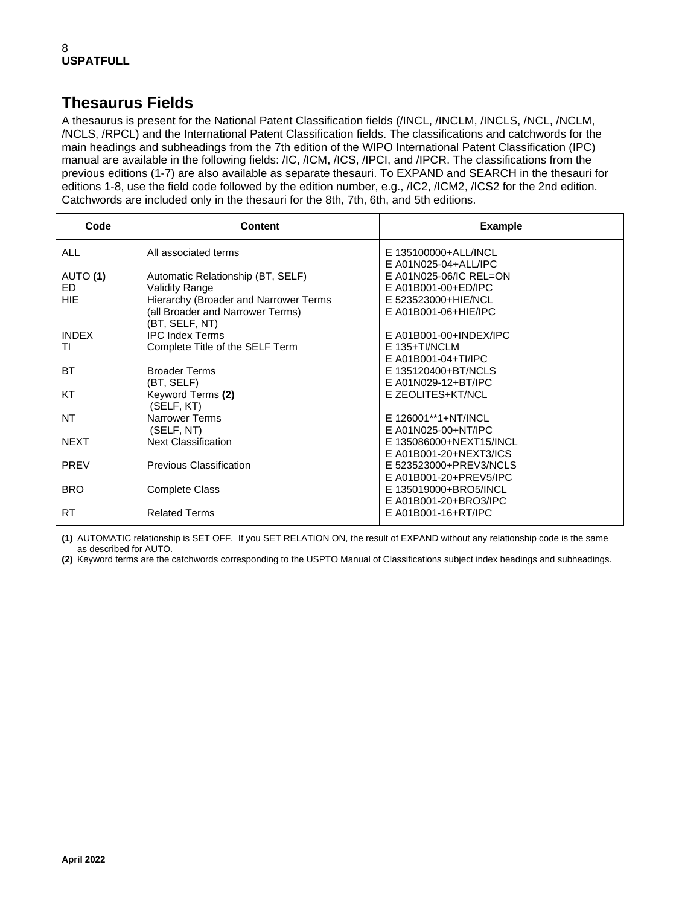## **Thesaurus Fields**

A thesaurus is present for the National Patent Classification fields (/INCL, /INCLM, /INCLS, /NCL, /NCLM, /NCLS, /RPCL) and the International Patent Classification fields. The classifications and catchwords for the main headings and subheadings from the 7th edition of the WIPO International Patent Classification (IPC) manual are available in the following fields: /IC, /ICM, /ICS, /IPCI, and /IPCR. The classifications from the previous editions (1-7) are also available as separate thesauri. To EXPAND and SEARCH in the thesauri for editions 1-8, use the field code followed by the edition number, e.g., /IC2, /ICM2, /ICS2 for the 2nd edition. Catchwords are included only in the thesauri for the 8th, 7th, 6th, and 5th editions.

| Code            | Content                                                                   | <b>Example</b>                                   |
|-----------------|---------------------------------------------------------------------------|--------------------------------------------------|
| <b>ALL</b>      | All associated terms                                                      | E 135100000+ALL/INCL                             |
|                 |                                                                           | E A01N025-04+ALL/IPC<br>$E$ A01N025-06/IC REL=ON |
| AUTO (1)<br>FD. | Automatic Relationship (BT, SELF)                                         | E A01B001-00+ED/IPC                              |
| <b>HIE</b>      | Validity Range                                                            | E 523523000+HIE/NCL                              |
|                 | Hierarchy (Broader and Narrower Terms<br>(all Broader and Narrower Terms) | E A01B001-06+HIE/IPC                             |
|                 | (BT, SELF, NT)                                                            |                                                  |
| <b>INDEX</b>    | <b>IPC Index Terms</b>                                                    | E A01B001-00+INDEX/IPC                           |
| ΤI              | Complete Title of the SELF Term                                           | $F$ 135+TI/NCLM                                  |
|                 |                                                                           | E A01B001-04+TI/IPC                              |
| ВT              | <b>Broader Terms</b>                                                      | E 135120400+BT/NCLS                              |
|                 | (BT, SELF)                                                                | E A01N029-12+BT/IPC                              |
| KT              | Keyword Terms (2)                                                         | E ZEOLITES+KT/NCL                                |
|                 | (SELF, KT)                                                                |                                                  |
| <b>NT</b>       | Narrower Terms                                                            | E 126001**1+NT/INCL                              |
|                 | (SELF, NT)                                                                | E A01N025-00+NT/IPC                              |
| <b>NEXT</b>     | <b>Next Classification</b>                                                | E 135086000+NEXT15/INCL                          |
|                 |                                                                           | E A01B001-20+NEXT3/ICS                           |
| <b>PREV</b>     | <b>Previous Classification</b>                                            | E 523523000+PREV3/NCLS                           |
|                 |                                                                           | E A01B001-20+PREV5/IPC                           |
| <b>BRO</b>      | <b>Complete Class</b>                                                     | E 135019000+BRO5/INCL                            |
|                 |                                                                           | E A01B001-20+BRO3/IPC                            |
| RT              | <b>Related Terms</b>                                                      | E A01B001-16+RT/IPC                              |
|                 |                                                                           |                                                  |

**(1)** AUTOMATIC relationship is SET OFF. If you SET RELATION ON, the result of EXPAND without any relationship code is the same as described for AUTO.

**(2)** Keyword terms are the catchwords corresponding to the USPTO Manual of Classifications subject index headings and subheadings.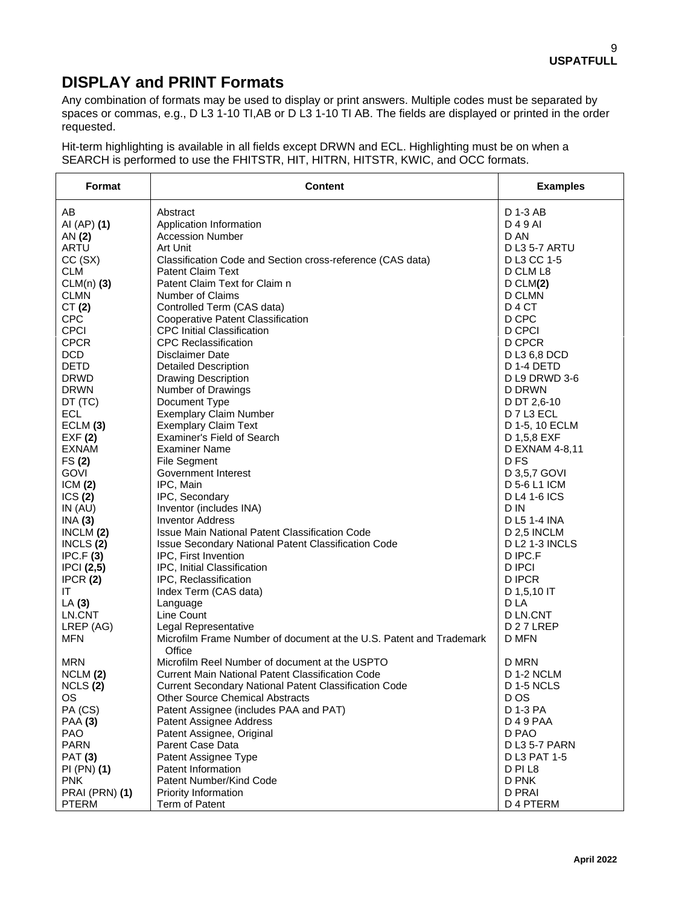## **DISPLAY and PRINT Formats**

Any combination of formats may be used to display or print answers. Multiple codes must be separated by spaces or commas, e.g., D L3 1-10 TI,AB or D L3 1-10 TI AB. The fields are displayed or printed in the order requested.

Hit-term highlighting is available in all fields except DRWN and ECL. Highlighting must be on when a SEARCH is performed to use the FHITSTR, HIT, HITRN, HITSTR, KWIC, and OCC formats.

| Format         | <b>Content</b>                                                                | <b>Examples</b>       |
|----------------|-------------------------------------------------------------------------------|-----------------------|
| AB             | Abstract                                                                      | D 1-3 AB              |
| AI (AP) (1)    | Application Information                                                       | D 4 9 AI              |
| AN (2)         | <b>Accession Number</b>                                                       | D AN                  |
| ARTU           | Art Unit                                                                      | <b>D L3 5-7 ARTU</b>  |
| CC(SX)         | Classification Code and Section cross-reference (CAS data)                    | D L3 CC 1-5           |
| <b>CLM</b>     | <b>Patent Claim Text</b>                                                      | D CLM L8              |
| $CLM(n)$ (3)   | Patent Claim Text for Claim n                                                 | D CLM(2)              |
| <b>CLMN</b>    | Number of Claims                                                              | <b>D CLMN</b>         |
| CT(2)          | Controlled Term (CAS data)                                                    | D <sub>4</sub> CT     |
| <b>CPC</b>     | Cooperative Patent Classification                                             | D CPC                 |
| <b>CPCI</b>    | <b>CPC Initial Classification</b>                                             | D CPCI                |
| <b>CPCR</b>    | <b>CPC</b> Reclassification                                                   | D CPCR                |
| <b>DCD</b>     | Disclaimer Date                                                               | D L3 6,8 DCD          |
| <b>DETD</b>    | <b>Detailed Description</b>                                                   | D 1-4 DETD            |
| <b>DRWD</b>    | <b>Drawing Description</b>                                                    | D L9 DRWD 3-6         |
| <b>DRWN</b>    | Number of Drawings                                                            | D DRWN                |
| DT (TC)        | Document Type                                                                 | D DT 2,6-10           |
| <b>ECL</b>     | <b>Exemplary Claim Number</b>                                                 | D 7 L3 ECL            |
| ECLM (3)       | <b>Exemplary Claim Text</b>                                                   | D 1-5, 10 ECLM        |
| EXF(2)         | Examiner's Field of Search                                                    | D 1,5,8 EXF           |
| <b>EXNAM</b>   | <b>Examiner Name</b>                                                          | D EXNAM 4-8,11        |
| FS(2)          | <b>File Segment</b>                                                           | D FS                  |
| <b>GOVI</b>    | Government Interest                                                           | D 3,5,7 GOVI          |
| ICM(2)         | IPC, Main                                                                     | D 5-6 L1 ICM          |
| ICS(2)         | IPC, Secondary                                                                | <b>D L4 1-6 ICS</b>   |
| IN $(AU)$      | Inventor (includes INA)                                                       | D IN                  |
| INA(3)         | <b>Inventor Address</b>                                                       | D L5 1-4 INA          |
| INCLM(2)       | Issue Main National Patent Classification Code                                | D 2,5 INCLM           |
| INCLS $(2)$    | Issue Secondary National Patent Classification Code                           | <b>D L2 1-3 INCLS</b> |
| IPC.F(3)       | IPC, First Invention                                                          | D IPC.F               |
| IPCI(2,5)      | IPC, Initial Classification                                                   | <b>D IPCI</b>         |
| IPCR(2)        | IPC, Reclassification                                                         | D IPCR                |
| IT             | Index Term (CAS data)                                                         | D 1,5,10 IT           |
| LA(3)          | Language                                                                      | D LA                  |
| LN.CNT         | Line Count                                                                    | D LN.CNT              |
| LREP (AG)      | Legal Representative                                                          | D <sub>27</sub> LREP  |
| <b>MFN</b>     | Microfilm Frame Number of document at the U.S. Patent and Trademark<br>Office | D MFN                 |
| <b>MRN</b>     | Microfilm Reel Number of document at the USPTO                                | D MRN                 |
| NCLM (2)       | Current Main National Patent Classification Code                              | <b>D 1-2 NCLM</b>     |
| NCLS(2)        | <b>Current Secondary National Patent Classification Code</b>                  | <b>D 1-5 NCLS</b>     |
| OS.            | <b>Other Source Chemical Abstracts</b>                                        | D OS                  |
| PA (CS)        | Patent Assignee (includes PAA and PAT)                                        | D 1-3 PA              |
| <b>PAA (3)</b> | Patent Assignee Address                                                       | D 4 9 PAA             |
| <b>PAO</b>     | Patent Assignee, Original                                                     | D PAO                 |
| <b>PARN</b>    | Parent Case Data                                                              | D L3 5-7 PARN         |
| <b>PAT (3)</b> | Patent Assignee Type                                                          | D L3 PAT 1-5          |
| PI (PN) (1)    | Patent Information                                                            | D PI L8               |
| <b>PNK</b>     | Patent Number/Kind Code                                                       | D PNK                 |
| PRAI (PRN) (1) | Priority Information                                                          | <b>D PRAI</b>         |
| <b>PTERM</b>   | Term of Patent                                                                | D 4 PTERM             |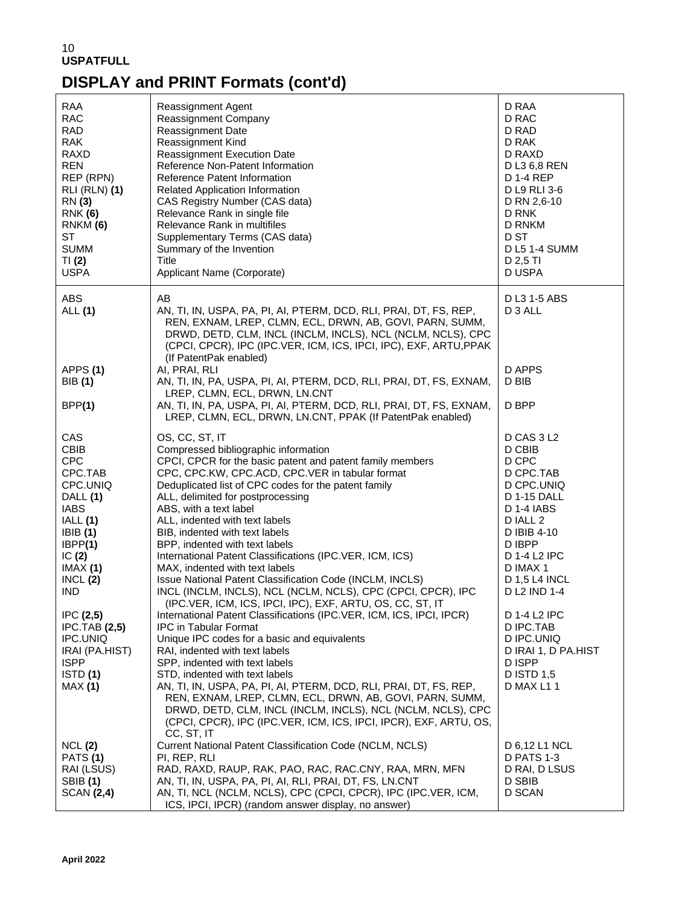# **DISPLAY and PRINT Formats (cont'd)**

| RAA<br><b>RAC</b><br><b>RAD</b><br><b>RAK</b><br><b>RAXD</b><br><b>REN</b><br>REP (RPN)<br><b>RLI (RLN) (1)</b><br><b>RN</b> (3)<br><b>RNK (6)</b><br>RNKM (6)<br><b>ST</b><br><b>SUMM</b><br>TI(2)<br><b>USPA</b>                                                        | Reassignment Agent<br>Reassignment Company<br>Reassignment Date<br>Reassignment Kind<br><b>Reassignment Execution Date</b><br>Reference Non-Patent Information<br>Reference Patent Information<br>Related Application Information<br>CAS Registry Number (CAS data)<br>Relevance Rank in single file<br>Relevance Rank in multifiles<br>Supplementary Terms (CAS data)<br>Summary of the Invention<br>Title<br>Applicant Name (Corporate)                                                                                                                                                                                                                                                                                                                                                                                                                                                                                                                                                                                                                                                                                                                                                                                     | D RAA<br>D RAC<br>D RAD<br>D RAK<br>D RAXD<br>D L3 6,8 REN<br><b>D 1-4 REP</b><br>D L9 RLI 3-6<br>D RN 2,6-10<br>D RNK<br>D RNKM<br>D ST<br><b>D L5 1-4 SUMM</b><br>D 2,5 TI<br>D USPA                                                                                                                               |
|---------------------------------------------------------------------------------------------------------------------------------------------------------------------------------------------------------------------------------------------------------------------------|-------------------------------------------------------------------------------------------------------------------------------------------------------------------------------------------------------------------------------------------------------------------------------------------------------------------------------------------------------------------------------------------------------------------------------------------------------------------------------------------------------------------------------------------------------------------------------------------------------------------------------------------------------------------------------------------------------------------------------------------------------------------------------------------------------------------------------------------------------------------------------------------------------------------------------------------------------------------------------------------------------------------------------------------------------------------------------------------------------------------------------------------------------------------------------------------------------------------------------|----------------------------------------------------------------------------------------------------------------------------------------------------------------------------------------------------------------------------------------------------------------------------------------------------------------------|
| ABS<br>ALL (1)                                                                                                                                                                                                                                                            | AB<br>AN, TI, IN, USPA, PA, PI, AI, PTERM, DCD, RLI, PRAI, DT, FS, REP,<br>REN, EXNAM, LREP, CLMN, ECL, DRWN, AB, GOVI, PARN, SUMM,<br>DRWD, DETD, CLM, INCL (INCLM, INCLS), NCL (NCLM, NCLS), CPC<br>(CPCI, CPCR), IPC (IPC.VER, ICM, ICS, IPCI, IPC), EXF, ARTU, PPAK<br>(If PatentPak enabled)                                                                                                                                                                                                                                                                                                                                                                                                                                                                                                                                                                                                                                                                                                                                                                                                                                                                                                                             | D L3 1-5 ABS<br>D 3 ALL                                                                                                                                                                                                                                                                                              |
| APPS(1)<br><b>BIB</b> (1)                                                                                                                                                                                                                                                 | AI, PRAI, RLI<br>AN, TI, IN, PA, USPA, PI, AI, PTERM, DCD, RLI, PRAI, DT, FS, EXNAM,                                                                                                                                                                                                                                                                                                                                                                                                                                                                                                                                                                                                                                                                                                                                                                                                                                                                                                                                                                                                                                                                                                                                          | D APPS<br>D BIB                                                                                                                                                                                                                                                                                                      |
| BPP(1)                                                                                                                                                                                                                                                                    | LREP, CLMN, ECL, DRWN, LN.CNT<br>AN, TI, IN, PA, USPA, PI, AI, PTERM, DCD, RLI, PRAI, DT, FS, EXNAM,<br>LREP, CLMN, ECL, DRWN, LN.CNT, PPAK (If PatentPak enabled)                                                                                                                                                                                                                                                                                                                                                                                                                                                                                                                                                                                                                                                                                                                                                                                                                                                                                                                                                                                                                                                            | D BPP                                                                                                                                                                                                                                                                                                                |
| CAS<br><b>CBIB</b><br><b>CPC</b><br>CPC.TAB<br>CPC.UNIQ<br>DALL (1)<br><b>IABS</b><br>IALL(1)<br>IBIB(1)<br>IBPP(1)<br>IC $(2)$<br>IMAX(1)<br>INCL(2)<br><b>IND</b><br>IPC(2,5)<br><b>IPC.TAB (2,5)</b><br>IPC.UNIQ<br>IRAI (PA.HIST)<br><b>ISPP</b><br>ISTD(1)<br>MAX(1) | OS, CC, ST, IT<br>Compressed bibliographic information<br>CPCI, CPCR for the basic patent and patent family members<br>CPC, CPC.KW, CPC.ACD, CPC.VER in tabular format<br>Deduplicated list of CPC codes for the patent family<br>ALL, delimited for postprocessing<br>ABS, with a text label<br>ALL, indented with text labels<br>BIB, indented with text labels<br>BPP, indented with text labels<br>International Patent Classifications (IPC.VER, ICM, ICS)<br>MAX, indented with text labels<br>Issue National Patent Classification Code (INCLM, INCLS)<br>INCL (INCLM, INCLS), NCL (NCLM, NCLS), CPC (CPCI, CPCR), IPC<br>(IPC.VER, ICM, ICS, IPCI, IPC), EXF, ARTU, OS, CC, ST, IT<br>International Patent Classifications (IPC.VER, ICM, ICS, IPCI, IPCR)<br><b>IPC in Tabular Format</b><br>Unique IPC codes for a basic and equivalents<br>RAI, indented with text labels<br>SPP, indented with text labels<br>STD, indented with text labels<br>AN, TI, IN, USPA, PA, PI, AI, PTERM, DCD, RLI, PRAI, DT, FS, REP,<br>REN, EXNAM, LREP, CLMN, ECL, DRWN, AB, GOVI, PARN, SUMM,<br>DRWD, DETD, CLM, INCL (INCLM, INCLS), NCL (NCLM, NCLS), CPC<br>(CPCI, CPCR), IPC (IPC.VER, ICM, ICS, IPCI, IPCR), EXF, ARTU, OS, | D CAS 3 L2<br>D CBIB<br>D CPC<br>D CPC.TAB<br>D CPC.UNIQ<br><b>D 1-15 DALL</b><br><b>D 1-4 IABS</b><br>D IALL 2<br>D IBIB 4-10<br>D IBPP<br>D 1-4 L2 IPC<br>D IMAX 1<br><b>D 1,5 L4 INCL</b><br>D L2 IND 1-4<br>D 1-4 L2 IPC<br>D IPC.TAB<br>D IPC.UNIQ<br>D IRAI 1, D PA.HIST<br>D ISPP<br>D ISTD 1,5<br>D MAX L1 1 |
| NCL(2)<br><b>PATS (1)</b><br>RAI (LSUS)<br><b>SBIB</b> (1)<br><b>SCAN (2,4)</b>                                                                                                                                                                                           | CC, ST, IT<br>Current National Patent Classification Code (NCLM, NCLS)<br>PI, REP, RLI<br>RAD, RAXD, RAUP, RAK, PAO, RAC, RAC.CNY, RAA, MRN, MFN<br>AN, TI, IN, USPA, PA, PI, AI, RLI, PRAI, DT, FS, LN.CNT<br>AN, TI, NCL (NCLM, NCLS), CPC (CPCI, CPCR), IPC (IPC.VER, ICM,<br>ICS, IPCI, IPCR) (random answer display, no answer)                                                                                                                                                                                                                                                                                                                                                                                                                                                                                                                                                                                                                                                                                                                                                                                                                                                                                          | D 6,12 L1 NCL<br><b>D PATS 1-3</b><br>D RAI, D LSUS<br>D SBIB<br><b>D SCAN</b>                                                                                                                                                                                                                                       |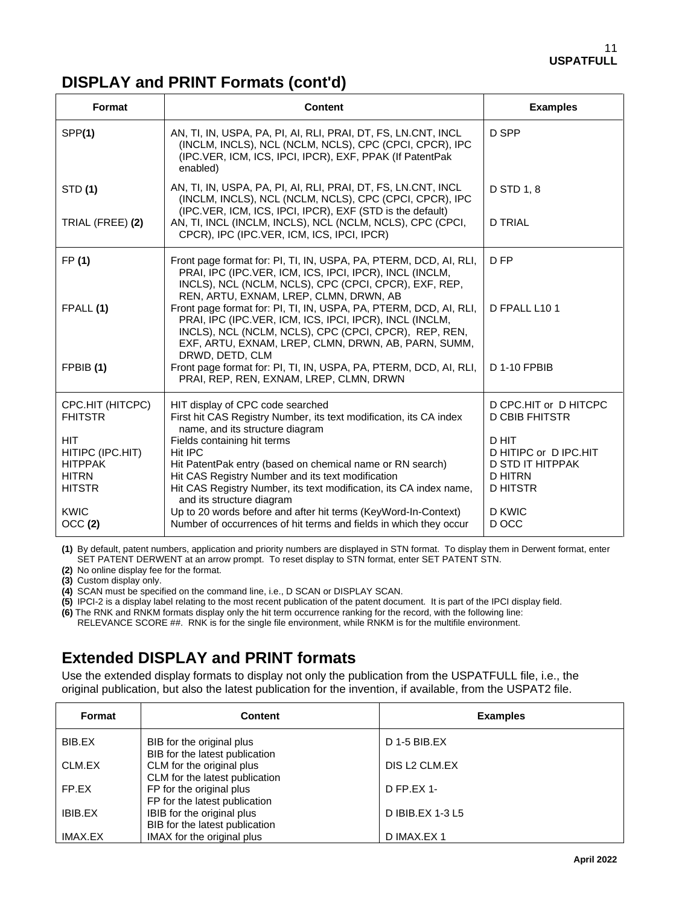## **DISPLAY and PRINT Formats (cont'd)**

| Format                             | <b>Content</b>                                                                                                                                                                                                                               | <b>Examples</b>                                  |
|------------------------------------|----------------------------------------------------------------------------------------------------------------------------------------------------------------------------------------------------------------------------------------------|--------------------------------------------------|
| SPP(1)                             | AN, TI, IN, USPA, PA, PI, AI, RLI, PRAI, DT, FS, LN.CNT, INCL<br>(INCLM, INCLS), NCL (NCLM, NCLS), CPC (CPCI, CPCR), IPC<br>(IPC.VER, ICM, ICS, IPCI, IPCR), EXF, PPAK (If PatentPak<br>enabled)                                             | D SPP                                            |
| <b>STD</b> (1)                     | AN, TI, IN, USPA, PA, PI, AI, RLI, PRAI, DT, FS, LN.CNT, INCL<br>(INCLM, INCLS), NCL (NCLM, NCLS), CPC (CPCI, CPCR), IPC<br>(IPC.VER, ICM, ICS, IPCI, IPCR), EXF (STD is the default)                                                        | D STD 1, 8                                       |
| TRIAL (FREE) (2)                   | AN, TI, INCL (INCLM, INCLS), NCL (NCLM, NCLS), CPC (CPCI,<br>CPCR), IPC (IPC.VER, ICM, ICS, IPCI, IPCR)                                                                                                                                      | <b>D TRIAL</b>                                   |
| FP (1)                             | Front page format for: PI, TI, IN, USPA, PA, PTERM, DCD, AI, RLI,<br>PRAI, IPC (IPC.VER, ICM, ICS, IPCI, IPCR), INCL (INCLM,<br>INCLS), NCL (NCLM, NCLS), CPC (CPCI, CPCR), EXF, REP,<br>REN, ARTU, EXNAM, LREP, CLMN, DRWN, AB              | D FP                                             |
| FPALL (1)                          | Front page format for: PI, TI, IN, USPA, PA, PTERM, DCD, AI, RLI,<br>PRAI, IPC (IPC.VER, ICM, ICS, IPCI, IPCR), INCL (INCLM,<br>INCLS), NCL (NCLM, NCLS), CPC (CPCI, CPCR), REP, REN,<br>EXF, ARTU, EXNAM, LREP, CLMN, DRWN, AB, PARN, SUMM, | D FPALL L10 1                                    |
| FPBIB (1)                          | DRWD, DETD, CLM<br>Front page format for: PI, TI, IN, USPA, PA, PTERM, DCD, AI, RLI,<br>PRAI, REP, REN, EXNAM, LREP, CLMN, DRWN                                                                                                              | D 1-10 FPBIB                                     |
| CPC.HIT (HITCPC)<br><b>FHITSTR</b> | HIT display of CPC code searched<br>First hit CAS Registry Number, its text modification, its CA index<br>name, and its structure diagram                                                                                                    | D CPC.HIT or D HITCPC<br><b>D CBIB FHITSTR</b>   |
| <b>HIT</b>                         | Fields containing hit terms                                                                                                                                                                                                                  | D HIT                                            |
| HITIPC (IPC.HIT)<br><b>HITPPAK</b> | Hit IPC<br>Hit PatentPak entry (based on chemical name or RN search)                                                                                                                                                                         | D HITIPC or D IPC.HIT<br><b>D STD IT HITPPAK</b> |
| <b>HITRN</b>                       | Hit CAS Registry Number and its text modification                                                                                                                                                                                            | <b>D HITRN</b>                                   |
| <b>HITSTR</b>                      | Hit CAS Registry Number, its text modification, its CA index name,<br>and its structure diagram                                                                                                                                              | <b>D HITSTR</b>                                  |
| <b>KWIC</b>                        | Up to 20 words before and after hit terms (KeyWord-In-Context)                                                                                                                                                                               | D KWIC                                           |
| OCC(2)                             | Number of occurrences of hit terms and fields in which they occur                                                                                                                                                                            | D OCC                                            |

**(1)** By default, patent numbers, application and priority numbers are displayed in STN format. To display them in Derwent format, enter SET PATENT DERWENT at an arrow prompt. To reset display to STN format, enter SET PATENT STN.

**(2)** No online display fee for the format.

**(3)** Custom display only.

**(4)** SCAN must be specified on the command line, i.e., D SCAN or DISPLAY SCAN.

**(5)** IPCI-2 is a display label relating to the most recent publication of the patent document. It is part of the IPCI display field.

**(6)** The RNK and RNKM formats display only the hit term occurrence ranking for the record, with the following line: RELEVANCE SCORE ##. RNK is for the single file environment, while RNKM is for the multifile environment.

## **Extended DISPLAY and PRINT formats**

Use the extended display formats to display not only the publication from the USPATFULL file, i.e., the original publication, but also the latest publication for the invention, if available, from the USPAT2 file.

| Format  | <b>Content</b>                                               | <b>Examples</b>  |
|---------|--------------------------------------------------------------|------------------|
| BIB.EX  | BIB for the original plus<br>BIB for the latest publication  | D 1-5 BIB.EX     |
| CLM.EX  | CLM for the original plus<br>CLM for the latest publication  | DIS L2 CLM.EX    |
| FP.EX   | FP for the original plus<br>FP for the latest publication    | $D$ FP.EX 1-     |
| IBIB.EX | IBIB for the original plus<br>BIB for the latest publication | D IBIB.EX 1-3 L5 |
| IMAX.EX | IMAX for the original plus                                   | D IMAX.EX 1      |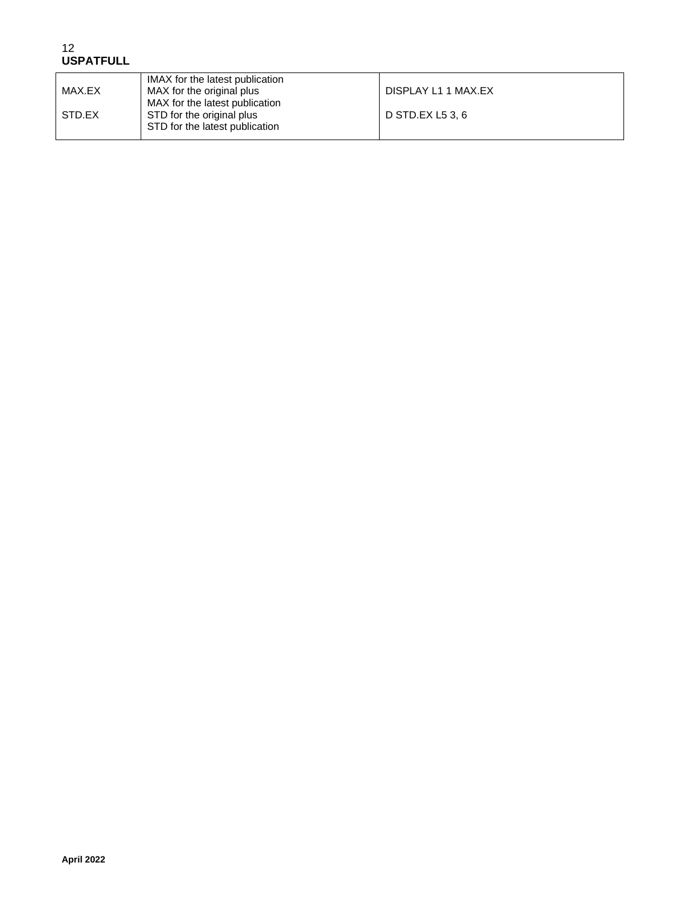| MAX.EX | IMAX for the latest publication<br>MAX for the original plus<br>MAX for the latest publication | DISPLAY L1 1 MAX.EX |
|--------|------------------------------------------------------------------------------------------------|---------------------|
| STD.EX | STD for the original plus<br>STD for the latest publication                                    | D STD.EX L5 3.6     |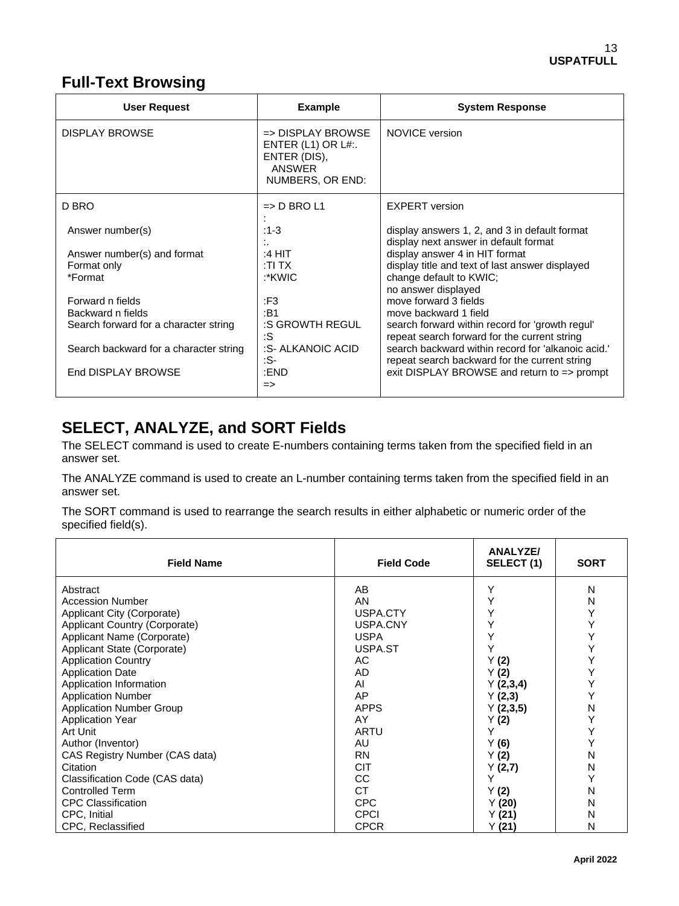## **Full-Text Browsing**

| <b>User Request</b>                    | <b>Example</b>                                                                                       | <b>System Response</b>                                                                              |
|----------------------------------------|------------------------------------------------------------------------------------------------------|-----------------------------------------------------------------------------------------------------|
| <b>DISPLAY BROWSE</b>                  | $\Rightarrow$ DISPLAY BROWSE<br>ENTER $(L1)$ OR $L#$ :<br>ENTER (DIS),<br>ANSWER<br>NUMBERS, OR END: | NOVICE version                                                                                      |
| D BRO                                  | $\Rightarrow$ D BRO L1                                                                               | <b>EXPERT</b> version                                                                               |
| Answer number(s)                       | $:1-3$                                                                                               | display answers 1, 2, and 3 in default format<br>display next answer in default format              |
| Answer number(s) and format            | :4 HIT                                                                                               | display answer 4 in HIT format                                                                      |
| Format only                            | ∶TI TX                                                                                               | display title and text of last answer displayed                                                     |
| *Format                                | :*KWIC                                                                                               | change default to KWIC;<br>no answer displayed                                                      |
| Forward n fields                       | :F3                                                                                                  | move forward 3 fields                                                                               |
| Backward n fields                      | :B1                                                                                                  | move backward 1 field                                                                               |
| Search forward for a character string  | :S GROWTH REGUL<br>:S                                                                                | search forward within record for 'growth regul'<br>repeat search forward for the current string     |
| Search backward for a character string | :S- ALKANOIC ACID<br>:S-                                                                             | search backward within record for 'alkanoic acid.'<br>repeat search backward for the current string |
| End DISPLAY BROWSE                     | :END<br>$\Rightarrow$                                                                                | exit DISPLAY BROWSE and return to $\Rightarrow$ prompt                                              |

## **SELECT, ANALYZE, and SORT Fields**

The SELECT command is used to create E-numbers containing terms taken from the specified field in an answer set.

The ANALYZE command is used to create an L-number containing terms taken from the specified field in an answer set.

The SORT command is used to rearrange the search results in either alphabetic or numeric order of the specified field(s).

| <b>Field Name</b>               | <b>Field Code</b> | <b>ANALYZE/</b><br>SELECT (1) | <b>SORT</b> |
|---------------------------------|-------------------|-------------------------------|-------------|
| Abstract                        | AB                | Y                             | N           |
| <b>Accession Number</b>         | AN                | Y                             | N           |
| Applicant City (Corporate)      | USPA.CTY          | Y                             | Υ           |
| Applicant Country (Corporate)   | USPA.CNY          | Y                             | Υ           |
| Applicant Name (Corporate)      | <b>USPA</b>       | Y                             | Υ           |
| Applicant State (Corporate)     | USPA.ST           | Y                             | Υ           |
| <b>Application Country</b>      | АC                | Y(2)                          | Υ           |
| <b>Application Date</b>         | AD                | Y(2)                          | Υ           |
| Application Information         | AI                | Y(2,3,4)                      | Υ           |
| <b>Application Number</b>       | AP                | Y(2,3)                        | Υ           |
| <b>Application Number Group</b> | <b>APPS</b>       | Y(2,3,5)                      | N           |
| <b>Application Year</b>         | AY                | Y (2)                         | Y           |
| Art Unit                        | ARTU              | Y                             | Υ           |
| Author (Inventor)               | AU                | Y(6)                          | Y           |
| CAS Registry Number (CAS data)  | <b>RN</b>         | Y(2)                          | N           |
| Citation                        | <b>CIT</b>        | Y(2,7)                        | N           |
| Classification Code (CAS data)  | CС                |                               | Y           |
| <b>Controlled Term</b>          | <b>CT</b>         | Y(2)                          | N           |
| <b>CPC Classification</b>       | <b>CPC</b>        | Y(20)                         | N           |
| CPC, Initial                    | <b>CPCI</b>       | Y(21)                         | N           |
| CPC, Reclassified               | <b>CPCR</b>       | Y (21)                        | N           |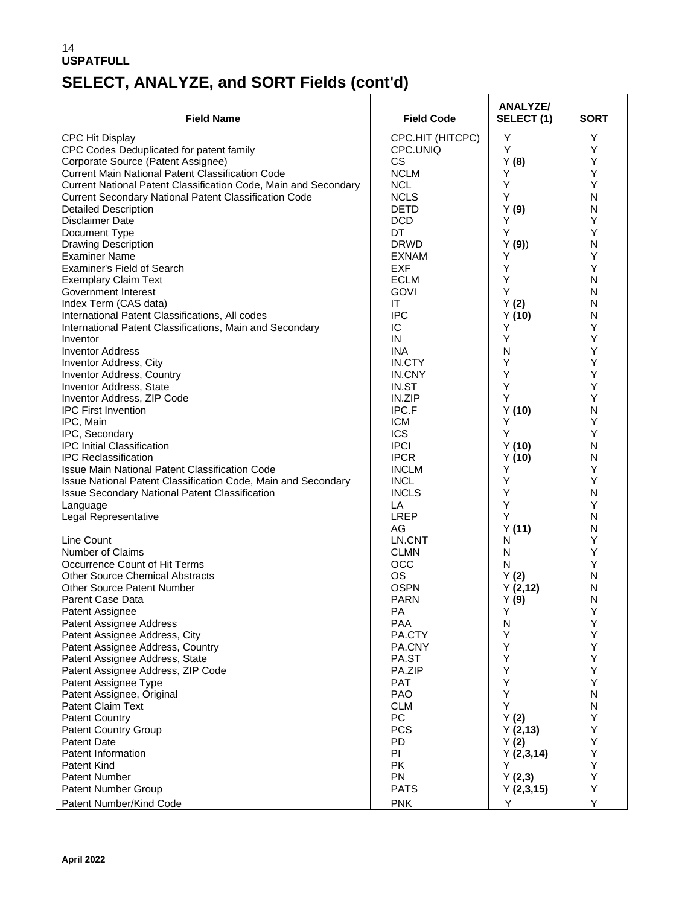# **SELECT, ANALYZE, and SORT Fields (cont'd)**

|                                                                 |                           | ANALYZE/       |             |
|-----------------------------------------------------------------|---------------------------|----------------|-------------|
| <b>Field Name</b>                                               | <b>Field Code</b>         | SELECT(1)      | <b>SORT</b> |
| <b>CPC Hit Display</b>                                          | CPC.HIT (HITCPC)          | Υ              | Y           |
| CPC Codes Deduplicated for patent family                        | CPC.UNIQ                  | Y              | Υ           |
| Corporate Source (Patent Assignee)                              | CS.                       | Y(8)           | Y           |
| <b>Current Main National Patent Classification Code</b>         | <b>NCLM</b>               | Υ              | Y           |
| Current National Patent Classification Code, Main and Secondary | <b>NCL</b>                | Y              | Y           |
| <b>Current Secondary National Patent Classification Code</b>    | <b>NCLS</b>               | Y              | N           |
| <b>Detailed Description</b><br>Disclaimer Date                  | <b>DETD</b><br><b>DCD</b> | Y(9)<br>Υ      | N<br>Υ      |
| Document Type                                                   | DT                        | Υ              | Y           |
| <b>Drawing Description</b>                                      | <b>DRWD</b>               | Y(9)           | N           |
| <b>Examiner Name</b>                                            | <b>EXNAM</b>              | Υ              | Y           |
| Examiner's Field of Search                                      | <b>EXF</b>                | Υ              | Υ           |
| <b>Exemplary Claim Text</b>                                     | <b>ECLM</b>               | Υ              | Ν           |
| Government Interest                                             | <b>GOVI</b>               | Υ              | N           |
| Index Term (CAS data)                                           | IT                        | Y(2)           | N           |
| International Patent Classifications, All codes                 | <b>IPC</b>                | Y(10)          | N           |
| International Patent Classifications, Main and Secondary        | IC                        | Υ              | Υ           |
| Inventor                                                        | IN                        | Υ              | Y           |
| <b>Inventor Address</b>                                         | <b>INA</b>                | N              | Υ           |
| <b>Inventor Address, City</b>                                   | IN.CTY                    | Υ              | Υ           |
| Inventor Address, Country                                       | IN.CNY                    | Υ              | Υ           |
| Inventor Address, State                                         | IN.ST                     | Υ              | Y           |
| Inventor Address, ZIP Code                                      | IN.ZIP                    | Υ              | Υ           |
| <b>IPC First Invention</b>                                      | IPC.F                     | Y(10)          | N           |
| IPC, Main                                                       | <b>ICM</b>                | Y              | Y           |
| IPC, Secondary                                                  | <b>ICS</b>                | Υ              | Υ           |
| IPC Initial Classification                                      | <b>IPCI</b>               | Y(10)          | N           |
| <b>IPC Reclassification</b>                                     | <b>IPCR</b>               | Y(10)          | N           |
| <b>Issue Main National Patent Classification Code</b>           | <b>INCLM</b>              | Υ              | Y           |
| Issue National Patent Classification Code, Main and Secondary   | <b>INCL</b>               | Υ<br>Υ         | Υ           |
| <b>Issue Secondary National Patent Classification</b>           | <b>INCLS</b><br>LA        | Υ              | N<br>Y      |
| Language<br>Legal Representative                                | <b>LREP</b>               | Υ              | N           |
|                                                                 | AG                        | Y(11)          | N           |
| Line Count                                                      | LN.CNT                    | N              | Υ           |
| Number of Claims                                                | <b>CLMN</b>               | N              | Y           |
| Occurrence Count of Hit Terms                                   | OCC                       | N              | Υ           |
| <b>Other Source Chemical Abstracts</b>                          | <b>OS</b>                 | Y(2)           | N           |
| <b>Other Source Patent Number</b>                               | <b>OSPN</b>               | Y(2,12)        | Ν           |
| <b>Parent Case Data</b>                                         | <b>PARN</b>               | Y(9)           | N           |
| Patent Assignee                                                 | PА                        | Υ              | Υ           |
| Patent Assignee Address                                         | <b>PAA</b>                | N              | Y           |
| Patent Assignee Address, City                                   | PA.CTY                    | Υ              | Υ           |
| Patent Assignee Address, Country                                | PA.CNY                    | Υ              | Y           |
| Patent Assignee Address, State                                  | PA.ST                     | Y              | Υ           |
| Patent Assignee Address, ZIP Code                               | PA.ZIP                    | Υ              | Υ           |
| Patent Assignee Type                                            | <b>PAT</b>                | Y              | Y           |
| Patent Assignee, Original                                       | <b>PAO</b>                | Υ              | N           |
| Patent Claim Text                                               | <b>CLM</b>                | Υ              | N           |
| <b>Patent Country</b>                                           | PC                        | Y(2)           | Υ           |
| <b>Patent Country Group</b>                                     | <b>PCS</b>                | Y(2,13)        | Y<br>Υ      |
| Patent Date<br>Patent Information                               | <b>PD</b><br>PI           | Y(2)           | Υ           |
| Patent Kind                                                     | <b>PK</b>                 | Y(2,3,14)<br>Y | Υ           |
| <b>Patent Number</b>                                            | <b>PN</b>                 | Y(2,3)         | Υ           |
| Patent Number Group                                             | <b>PATS</b>               | Y(2,3,15)      | Υ           |
|                                                                 |                           |                | Υ           |
| Patent Number/Kind Code                                         | <b>PNK</b>                | Υ              |             |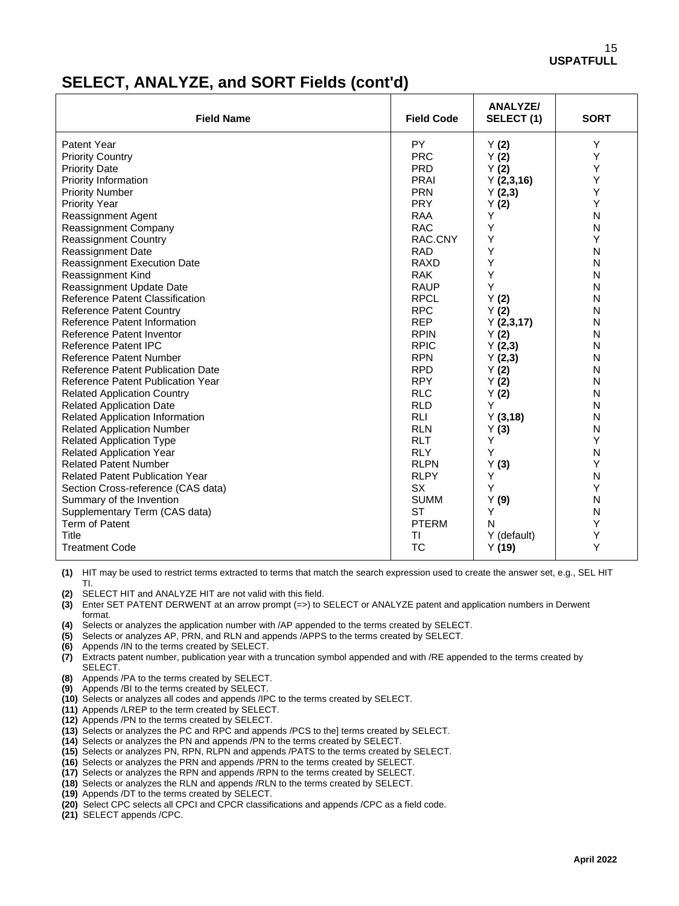## **SELECT, ANALYZE, and SORT Fields (cont'd)**

| <b>Field Name</b>                        | <b>Field Code</b> | <b>ANALYZE/</b><br>SELECT(1) | <b>SORT</b> |
|------------------------------------------|-------------------|------------------------------|-------------|
| Patent Year                              | <b>PY</b>         | Y(2)                         | Y           |
| <b>Priority Country</b>                  | <b>PRC</b>        | Y(2)                         | Υ           |
| <b>Priority Date</b>                     | <b>PRD</b>        | Y(2)                         | Y           |
| Priority Information                     | <b>PRAI</b>       | Y(2,3,16)                    | Υ           |
| <b>Priority Number</b>                   | <b>PRN</b>        | Y(2,3)                       | Υ           |
| <b>Priority Year</b>                     | <b>PRY</b>        | Y(2)                         | Υ           |
| Reassignment Agent                       | RAA               | Y                            | N           |
| Reassignment Company                     | <b>RAC</b>        | Y                            | N           |
| <b>Reassignment Country</b>              | RAC.CNY           | Y                            | Υ           |
| <b>Reassignment Date</b>                 | <b>RAD</b>        | Y                            | N           |
| <b>Reassignment Execution Date</b>       | <b>RAXD</b>       | Y                            | N           |
| Reassignment Kind                        | <b>RAK</b>        | Y                            | N           |
| Reassignment Update Date                 | <b>RAUP</b>       | Y                            | N           |
| Reference Patent Classification          | <b>RPCL</b>       | Y(2)                         | N           |
| <b>Reference Patent Country</b>          | <b>RPC</b>        | Y(2)                         | N           |
| Reference Patent Information             | <b>REP</b>        | Y(2,3,17)                    | N           |
| Reference Patent Inventor                | <b>RPIN</b>       | Y(2)                         | N           |
| Reference Patent IPC                     | <b>RPIC</b>       | Y(2,3)                       | N           |
| <b>Reference Patent Number</b>           | <b>RPN</b>        | Y(2,3)                       | N           |
| <b>Reference Patent Publication Date</b> | <b>RPD</b>        | Y(2)                         | N           |
| Reference Patent Publication Year        | <b>RPY</b>        | Y(2)                         | N           |
| <b>Related Application Country</b>       | <b>RLC</b>        | Y(2)                         | N           |
| <b>Related Application Date</b>          | <b>RLD</b>        | Y                            | N           |
| <b>Related Application Information</b>   | <b>RLI</b>        | Y(3,18)                      | N           |
| <b>Related Application Number</b>        | <b>RLN</b>        | Y(3)                         | N           |
| <b>Related Application Type</b>          | <b>RLT</b>        | Υ                            | Υ           |
| <b>Related Application Year</b>          | <b>RLY</b>        | Y                            | N           |
| <b>Related Patent Number</b>             | <b>RLPN</b>       | Y(3)                         | Υ           |
| <b>Related Patent Publication Year</b>   | <b>RLPY</b>       | Y                            | N           |
| Section Cross-reference (CAS data)       | <b>SX</b>         | Y                            | Y           |
| Summary of the Invention                 | <b>SUMM</b>       | Y(9)                         | N           |
| Supplementary Term (CAS data)            | <b>ST</b>         | Y                            | N           |
| Term of Patent                           | <b>PTERM</b>      | N                            | Y           |
| Title                                    | ΤI                | Y (default)                  | Y           |
| <b>Treatment Code</b>                    | <b>TC</b>         | Y(19)                        | Υ           |

**(1)** HIT may be used to restrict terms extracted to terms that match the search expression used to create the answer set, e.g., SEL HIT TI.

**(2)** SELECT HIT and ANALYZE HIT are not valid with this field.

**(3)** Enter SET PATENT DERWENT at an arrow prompt (=>) to SELECT or ANALYZE patent and application numbers in Derwent format.

**(4)** Selects or analyzes the application number with /AP appended to the terms created by SELECT.

- **(5)** Selects or analyzes AP, PRN, and RLN and appends /APPS to the terms created by SELECT.
- **(6)** Appends /IN to the terms created by SELECT.
- **(7)** Extracts patent number, publication year with a truncation symbol appended and with /RE appended to the terms created by SELECT.
- **(8)** Appends /PA to the terms created by SELECT.
- **(9)** Appends /BI to the terms created by SELECT.
- **(10)** Selects or analyzes all codes and appends /IPC to the terms created by SELECT.
- **(11)** Appends /LREP to the term created by SELECT.
- **(12)** Appends /PN to the terms created by SELECT.
- **(13)** Selects or analyzes the PC and RPC and appends /PCS to the] terms created by SELECT.
- **(14)** Selects or analyzes the PN and appends /PN to the terms created by SELECT.
- **(15)** Selects or analyzes PN, RPN, RLPN and appends /PATS to the terms created by SELECT.
- **(16)** Selects or analyzes the PRN and appends /PRN to the terms created by SELECT.
- **(17)** Selects or analyzes the RPN and appends /RPN to the terms created by SELECT.
- **(18)** Selects or analyzes the RLN and appends /RLN to the terms created by SELECT.
- **(19)** Appends /DT to the terms created by SELECT.
- **(20)** Select CPC selects all CPCI and CPCR classifications and appends /CPC as a field code.
- **(21)** SELECT appends /CPC.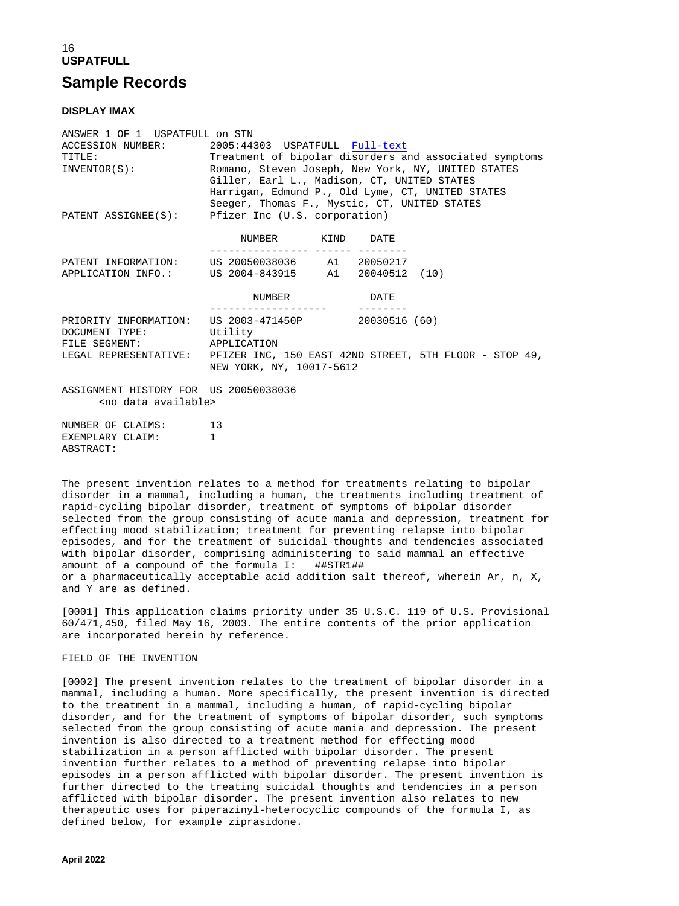## 16 **USPATFULL Sample Records**

#### **DISPLAY IMAX**

| ANSWER 1 OF 1 USPATFULL ON STN        |                                                                              |  |  |
|---------------------------------------|------------------------------------------------------------------------------|--|--|
|                                       | ACCESSION NUMBER: 2005:44303 USPATFULL Full-text                             |  |  |
| TITLE:                                | Treatment of bipolar disorders and associated symptoms                       |  |  |
|                                       | INVENTOR(S): Romano, Steven Joseph, New York, NY, UNITED STATES              |  |  |
|                                       | Giller, Earl L., Madison, CT, UNITED STATES                                  |  |  |
|                                       | Harrigan, Edmund P., Old Lyme, CT, UNITED STATES                             |  |  |
|                                       | Seeger, Thomas F., Mystic, CT, UNITED STATES                                 |  |  |
|                                       | PATENT ASSIGNEE(S): Pfizer Inc (U.S. corporation)                            |  |  |
|                                       |                                                                              |  |  |
|                                       | NUMBER KIND DATE                                                             |  |  |
|                                       |                                                                              |  |  |
|                                       | PATENT INFORMATION: US 20050038036 A1 20050217                               |  |  |
|                                       | APPLICATION INFO.: US 2004-843915 A1 20040512 (10)                           |  |  |
|                                       |                                                                              |  |  |
|                                       | NUMBER DATE                                                                  |  |  |
|                                       |                                                                              |  |  |
|                                       | PRIORITY INFORMATION: US 2003-471450P 20030516 (60)                          |  |  |
| DOCUMENT TYPE: Utility                |                                                                              |  |  |
| FILE SEGMENT: APPLICATION             |                                                                              |  |  |
|                                       | LEGAL REPRESENTATIVE: PFIZER INC, 150 EAST 42ND STREET, 5TH FLOOR - STOP 49, |  |  |
|                                       | NEW YORK, NY, 10017-5612                                                     |  |  |
|                                       |                                                                              |  |  |
| ASSIGNMENT HISTORY FOR US 20050038036 |                                                                              |  |  |
| <no available="" data=""></no>        |                                                                              |  |  |
| NUMBER OF CLAIMS: 13                  |                                                                              |  |  |
| EXEMPLARY CLAIM:                      |                                                                              |  |  |
| ABSTRACT:                             |                                                                              |  |  |

The present invention relates to a method for treatments relating to bipolar disorder in a mammal, including a human, the treatments including treatment of rapid-cycling bipolar disorder, treatment of symptoms of bipolar disorder selected from the group consisting of acute mania and depression, treatment for effecting mood stabilization; treatment for preventing relapse into bipolar episodes, and for the treatment of suicidal thoughts and tendencies associated with bipolar disorder, comprising administering to said mammal an effective amount of a compound of the formula I: ##STR1## or a pharmaceutically acceptable acid addition salt thereof, wherein Ar, n, X, and Y are as defined.

[0001] This application claims priority under 35 U.S.C. 119 of U.S. Provisional 60/471,450, filed May 16, 2003. The entire contents of the prior application are incorporated herein by reference.

### FIELD OF THE INVENTION

[0002] The present invention relates to the treatment of bipolar disorder in a mammal, including a human. More specifically, the present invention is directed to the treatment in a mammal, including a human, of rapid-cycling bipolar disorder, and for the treatment of symptoms of bipolar disorder, such symptoms selected from the group consisting of acute mania and depression. The present invention is also directed to a treatment method for effecting mood stabilization in a person afflicted with bipolar disorder. The present invention further relates to a method of preventing relapse into bipolar episodes in a person afflicted with bipolar disorder. The present invention is further directed to the treating suicidal thoughts and tendencies in a person afflicted with bipolar disorder. The present invention also relates to new therapeutic uses for piperazinyl-heterocyclic compounds of the formula I, as defined below, for example ziprasidone.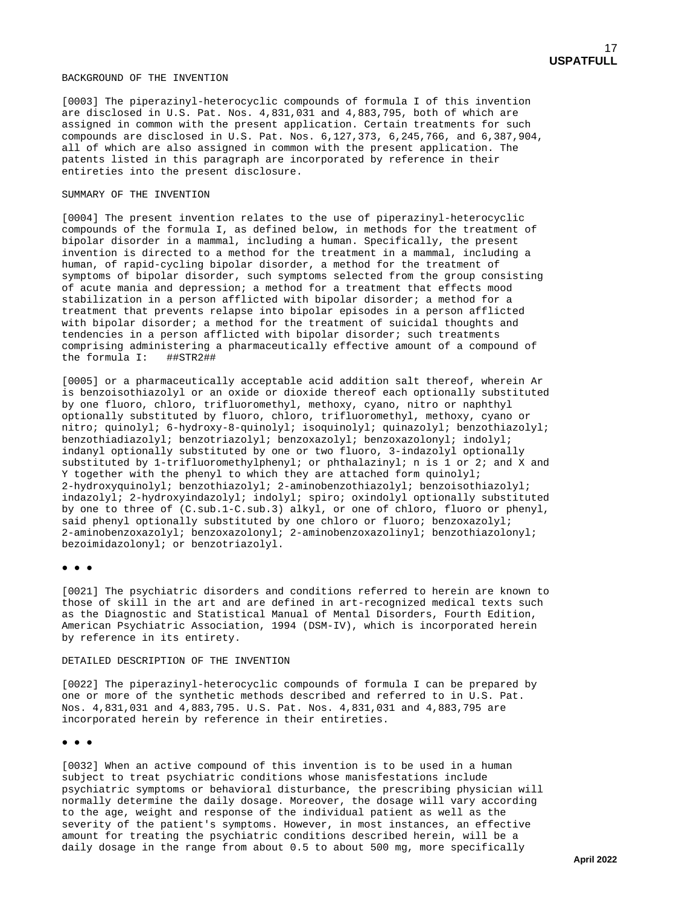#### BACKGROUND OF THE INVENTION

[0003] The piperazinyl-heterocyclic compounds of formula I of this invention are disclosed in U.S. Pat. Nos. 4,831,031 and 4,883,795, both of which are assigned in common with the present application. Certain treatments for such compounds are disclosed in U.S. Pat. Nos. 6,127,373, 6,245,766, and 6,387,904, all of which are also assigned in common with the present application. The patents listed in this paragraph are incorporated by reference in their entireties into the present disclosure.

#### SUMMARY OF THE INVENTION

[0004] The present invention relates to the use of piperazinyl-heterocyclic compounds of the formula I, as defined below, in methods for the treatment of bipolar disorder in a mammal, including a human. Specifically, the present invention is directed to a method for the treatment in a mammal, including a human, of rapid-cycling bipolar disorder, a method for the treatment of symptoms of bipolar disorder, such symptoms selected from the group consisting of acute mania and depression; a method for a treatment that effects mood stabilization in a person afflicted with bipolar disorder; a method for a treatment that prevents relapse into bipolar episodes in a person afflicted with bipolar disorder; a method for the treatment of suicidal thoughts and tendencies in a person afflicted with bipolar disorder; such treatments comprising administering a pharmaceutically effective amount of a compound of the formula I: ##STR2##

[0005] or a pharmaceutically acceptable acid addition salt thereof, wherein Ar is benzoisothiazolyl or an oxide or dioxide thereof each optionally substituted by one fluoro, chloro, trifluoromethyl, methoxy, cyano, nitro or naphthyl optionally substituted by fluoro, chloro, trifluoromethyl, methoxy, cyano or nitro; quinolyl; 6-hydroxy-8-quinolyl; isoquinolyl; quinazolyl; benzothiazolyl; benzothiadiazolyl; benzotriazolyl; benzoxazolyl; benzoxazolonyl; indolyl; indanyl optionally substituted by one or two fluoro, 3-indazolyl optionally substituted by 1-trifluoromethylphenyl; or phthalazinyl; n is 1 or 2; and X and Y together with the phenyl to which they are attached form quinolyl; 2-hydroxyquinolyl; benzothiazolyl; 2-aminobenzothiazolyl; benzoisothiazolyl; indazolyl; 2-hydroxyindazolyl; indolyl; spiro; oxindolyl optionally substituted by one to three of (C.sub.1-C.sub.3) alkyl, or one of chloro, fluoro or phenyl, said phenyl optionally substituted by one chloro or fluoro; benzoxazolyl; 2-aminobenzoxazolyl; benzoxazolonyl; 2-aminobenzoxazolinyl; benzothiazolonyl; bezoimidazolonyl; or benzotriazolyl.

#### ● ● ●

[0021] The psychiatric disorders and conditions referred to herein are known to those of skill in the art and are defined in art-recognized medical texts such as the Diagnostic and Statistical Manual of Mental Disorders, Fourth Edition, American Psychiatric Association, 1994 (DSM-IV), which is incorporated herein by reference in its entirety.

#### DETAILED DESCRIPTION OF THE INVENTION

[0022] The piperazinyl-heterocyclic compounds of formula I can be prepared by one or more of the synthetic methods described and referred to in U.S. Pat. Nos. 4,831,031 and 4,883,795. U.S. Pat. Nos. 4,831,031 and 4,883,795 are incorporated herein by reference in their entireties.

#### ● ● ●

[0032] When an active compound of this invention is to be used in a human subject to treat psychiatric conditions whose manisfestations include psychiatric symptoms or behavioral disturbance, the prescribing physician will normally determine the daily dosage. Moreover, the dosage will vary according to the age, weight and response of the individual patient as well as the severity of the patient's symptoms. However, in most instances, an effective amount for treating the psychiatric conditions described herein, will be a daily dosage in the range from about 0.5 to about 500 mg, more specifically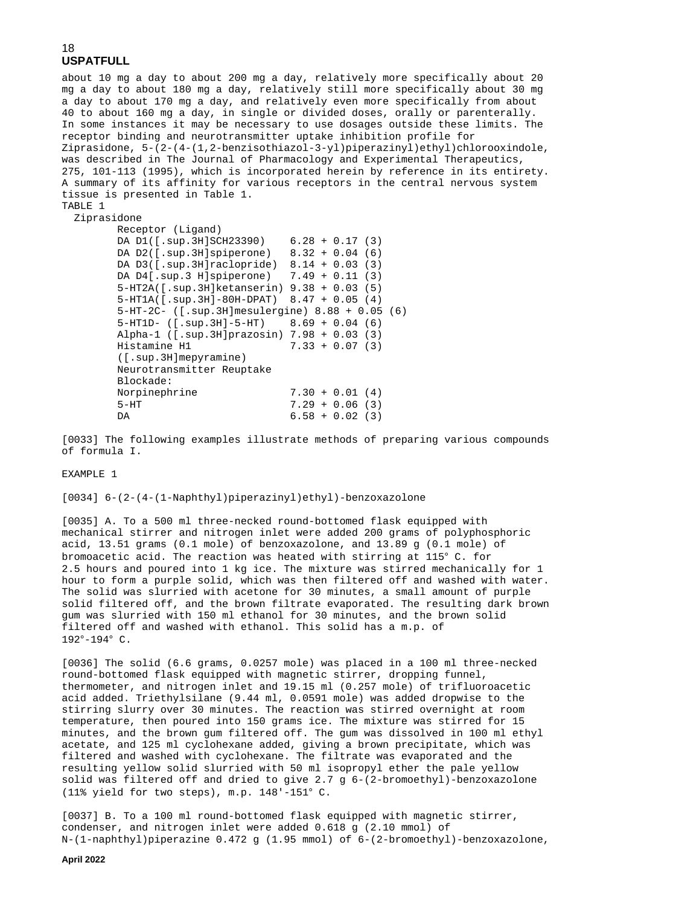about 10 mg a day to about 200 mg a day, relatively more specifically about 20 mg a day to about 180 mg a day, relatively still more specifically about 30 mg a day to about 170 mg a day, and relatively even more specifically from about 40 to about 160 mg a day, in single or divided doses, orally or parenterally. In some instances it may be necessary to use dosages outside these limits. The receptor binding and neurotransmitter uptake inhibition profile for Ziprasidone, 5-(2-(4-(1,2-benzisothiazol-3-yl)piperazinyl)ethyl)chlorooxindole, was described in The Journal of Pharmacology and Experimental Therapeutics, 275, 101-113 (1995), which is incorporated herein by reference in its entirety. A summary of its affinity for various receptors in the central nervous system tissue is presented in Table 1. TABLE 1

### Ziprasidone

```
 Receptor (Ligand) 
          DA D1([.sup.3H]SCH23390) 6.28 + 0.17 (3)
          DA D2([.sup.3H]spiperone) 8.32 + 0.04 (6)
 DA D3([.sup.3H]raclopride) 8.14 + 0.03 (3)
 DA D4[.sup.3 H]spiperone) 7.49 + 0.11 (3)
          5-HT2A([.sup.3H]ketanserin) 9.38 + 0.03 (5)
          5-HT1A([.sup.3H]-80H-DPAT) 8.47 + 0.05 (4)
          5-HT-2C- ([.sup.3H]mesulergine) 8.88 + 0.05 (6)
          5-HT1D- ([.sup.3H]-5-HT) 8.69 + 0.04 (6)
         Alpha-1 ([.sup.3H]prazosin) 7.98 + 0.03 (3)<br>Histamine H1 7.33 + 0.07 (3)
                                       7.33 + 0.07 (3)
          ([.sup.3H]mepyramine)
          Neurotransmitter Reuptake
         Blockade:<br>Norpinephrine
         Norpinephrine 7.30 + 0.01 (4)<br>5-HT 7.29 + 0.06 (3)
         5-HT 7.29 + 0.06 (3)<br>DA 6.58 + 0.02 (3)
                                       6.58 + 0.02 (3)
```
[0033] The following examples illustrate methods of preparing various compounds of formula I.

#### EXAMPLE 1

[0034] 6-(2-(4-(1-Naphthyl)piperazinyl)ethyl)-benzoxazolone

[0035] A. To a 500 ml three-necked round-bottomed flask equipped with mechanical stirrer and nitrogen inlet were added 200 grams of polyphosphoric acid, 13.51 grams (0.1 mole) of benzoxazolone, and 13.89 g (0.1 mole) of bromoacetic acid. The reaction was heated with stirring at 115° C. for 2.5 hours and poured into 1 kg ice. The mixture was stirred mechanically for 1 hour to form a purple solid, which was then filtered off and washed with water. The solid was slurried with acetone for 30 minutes, a small amount of purple solid filtered off, and the brown filtrate evaporated. The resulting dark brown gum was slurried with 150 ml ethanol for 30 minutes, and the brown solid filtered off and washed with ethanol. This solid has a m.p. of 192°-194° C.

[0036] The solid (6.6 grams, 0.0257 mole) was placed in a 100 ml three-necked round-bottomed flask equipped with magnetic stirrer, dropping funnel, thermometer, and nitrogen inlet and 19.15 ml (0.257 mole) of trifluoroacetic acid added. Triethylsilane (9.44 ml, 0.0591 mole) was added dropwise to the stirring slurry over 30 minutes. The reaction was stirred overnight at room temperature, then poured into 150 grams ice. The mixture was stirred for 15 minutes, and the brown gum filtered off. The gum was dissolved in 100 ml ethyl acetate, and 125 ml cyclohexane added, giving a brown precipitate, which was filtered and washed with cyclohexane. The filtrate was evaporated and the resulting yellow solid slurried with 50 ml isopropyl ether the pale yellow solid was filtered off and dried to give 2.7 g 6-(2-bromoethyl)-benzoxazolone (11% yield for two steps), m.p. 148'-151° C.

[0037] B. To a 100 ml round-bottomed flask equipped with magnetic stirrer, condenser, and nitrogen inlet were added 0.618 g (2.10 mmol) of N-(1-naphthyl)piperazine 0.472 g (1.95 mmol) of 6-(2-bromoethyl)-benzoxazolone,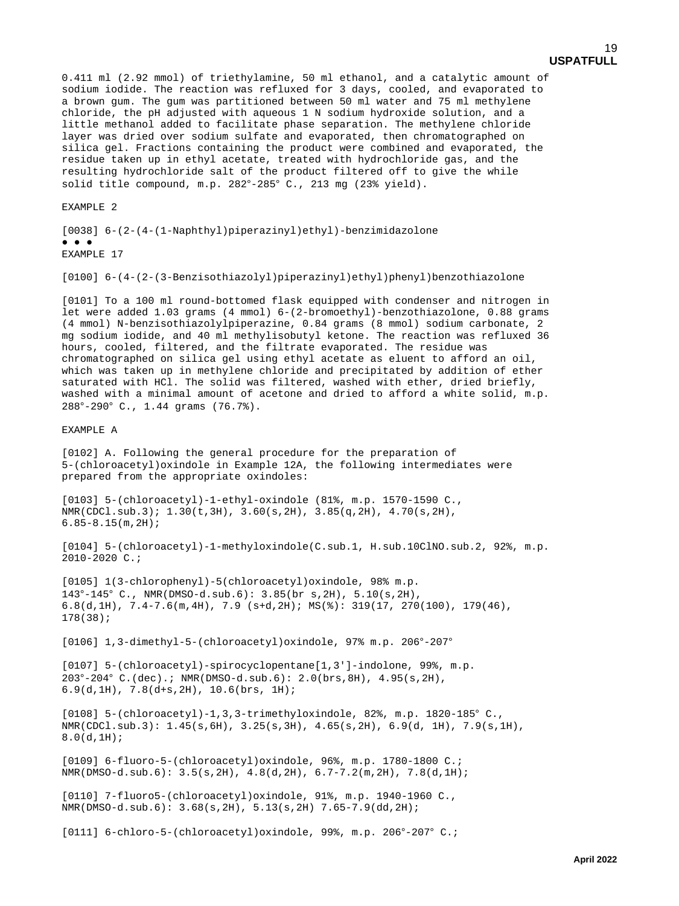a brown gum. The gum was partitioned between 50 ml water and 75 ml methylene chloride, the pH adjusted with aqueous 1 N sodium hydroxide solution, and a little methanol added to facilitate phase separation. The methylene chloride layer was dried over sodium sulfate and evaporated, then chromatographed on silica gel. Fractions containing the product were combined and evaporated, the residue taken up in ethyl acetate, treated with hydrochloride gas, and the resulting hydrochloride salt of the product filtered off to give the while solid title compound, m.p. 282°-285° C., 213 mg (23% yield).

EXAMPLE 2

[0038] 6-(2-(4-(1-Naphthyl)piperazinyl)ethyl)-benzimidazolone ● ● ● EXAMPLE 17

[0100] 6-(4-(2-(3-Benzisothiazolyl)piperazinyl)ethyl)phenyl)benzothiazolone

[0101] To a 100 ml round-bottomed flask equipped with condenser and nitrogen in let were added 1.03 grams (4 mmol) 6-(2-bromoethyl)-benzothiazolone, 0.88 grams (4 mmol) N-benzisothiazolylpiperazine, 0.84 grams (8 mmol) sodium carbonate, 2 mg sodium iodide, and 40 ml methylisobutyl ketone. The reaction was refluxed 36 hours, cooled, filtered, and the filtrate evaporated. The residue was chromatographed on silica gel using ethyl acetate as eluent to afford an oil, which was taken up in methylene chloride and precipitated by addition of ether saturated with HCl. The solid was filtered, washed with ether, dried briefly, washed with a minimal amount of acetone and dried to afford a white solid, m.p. 288°-290° C., 1.44 grams (76.7%).

### EXAMPLE A

[0102] A. Following the general procedure for the preparation of 5-(chloroacetyl)oxindole in Example 12A, the following intermediates were prepared from the appropriate oxindoles:

[0103] 5-(chloroacetyl)-1-ethyl-oxindole (81%, m.p. 1570-1590 C., NMR(CDCl.sub.3); 1.30(t,3H), 3.60(s,2H), 3.85(q,2H), 4.70(s,2H), 6.85-8.15(m,2H);

[0104] 5-(chloroacetyl)-1-methyloxindole(C.sub.1, H.sub.10ClNO.sub.2, 92%, m.p. 2010-2020 C.;

[0105] 1(3-chlorophenyl)-5(chloroacetyl)oxindole, 98% m.p. 143°-145° C., NMR(DMSO-d.sub.6): 3.85(br s,2H), 5.10(s,2H), 6.8(d,1H), 7.4-7.6(m,4H), 7.9 (s+d,2H); MS(%): 319(17, 270(100), 179(46), 178(38);

[0106] 1,3-dimethyl-5-(chloroacetyl)oxindole, 97% m.p. 206°-207°

[0107] 5-(chloroacetyl)-spirocyclopentane[1,3']-indolone, 99%, m.p. 203°-204° C.(dec).; NMR(DMSO-d.sub.6): 2.0(brs,8H), 4.95(s,2H), 6.9(d,1H), 7.8(d+s,2H), 10.6(brs, 1H);

[0108] 5-(chloroacetyl)-1,3,3-trimethyloxindole, 82%, m.p. 1820-185° C., NMR(CDCl.sub.3): 1.45(s,6H), 3.25(s,3H), 4.65(s,2H), 6.9(d, 1H), 7.9(s,1H), 8.0(d,1H);

[0109] 6-fluoro-5-(chloroacetyl)oxindole, 96%, m.p. 1780-1800 C.; NMR(DMSO-d.sub.6): 3.5(s,2H), 4.8(d,2H), 6.7-7.2(m,2H), 7.8(d,1H);

[0110] 7-fluoro5-(chloroacetyl)oxindole, 91%, m.p. 1940-1960 C., NMR(DMSO-d.sub.6): 3.68(s,2H), 5.13(s,2H) 7.65-7.9(dd,2H);

[0111] 6-chloro-5-(chloroacetyl)oxindole, 99%, m.p. 206°-207° C.;

19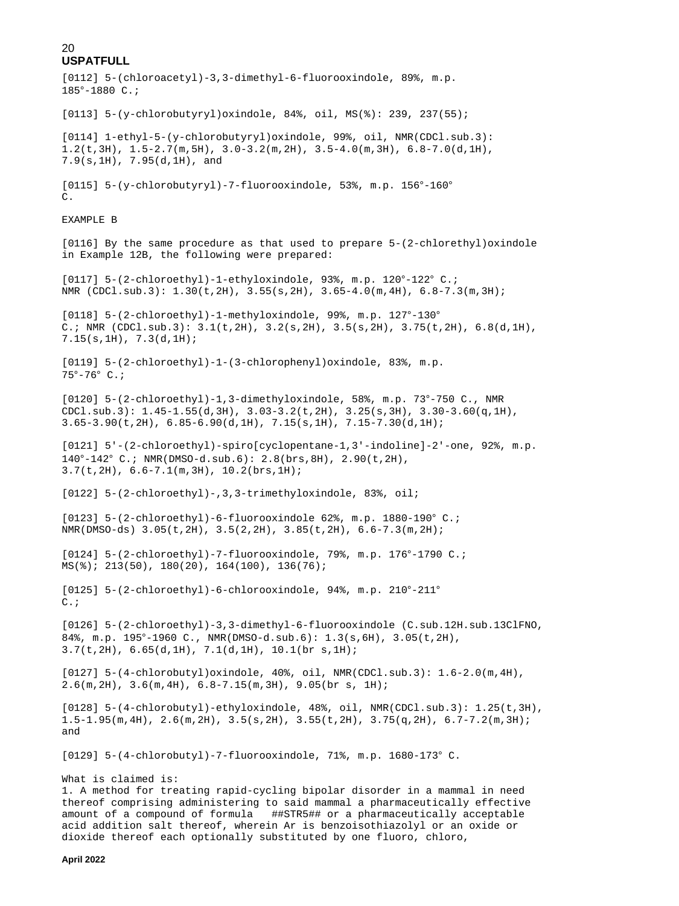```
[0112] 5-(chloroacetyl)-3,3-dimethyl-6-fluorooxindole, 89%, m.p.
185°-1880 C.;
[0113] 5-(y-chlorobutyryl)oxindole, 84%, oil, MS(%): 239, 237(55);
[0114] 1-ethyl-5-(y-chlorobutyryl)oxindole, 99%, oil, NMR(CDCl.sub.3):
1.2(\text{t},3\text{H}), 1.5-2.7(\text{m},5\text{H}), 3.0-3.2(\text{m},2\text{H}), 3.5-4.0(\text{m},3\text{H}), 6.8-7.0(\text{d},1\text{H}),
7.9(s,1H), 7.95(d,1H), and
[0115] 5-(y-chlorobutyryl)-7-fluorooxindole, 53%, m.p. 156°-160°
C.
EXAMPLE B
[0116] By the same procedure as that used to prepare 5-(2-chlorethyl)oxindole
in Example 12B, the following were prepared:
[0117] 5-(2-chloroethyl)-1-ethyloxindole, 93%, m.p. 120°-122° C.;
NMR (CDC1.sub.3): 1.30(t, 2H), 3.55(s, 2H), 3.65-4.0(m, 4H), 6.8-7.3(m, 3H);[0118] 5-(2-chloroethyl)-1-methyloxindole, 99%, m.p. 127°-130°
C.; NMR (CDC1.sub.3): 3.1(t, 2H), 3.2(s, 2H), 3.5(s, 2H), 3.75(t, 2H), 6.8(d, 1H),7.15(s,1H), 7.3(d,1H);
[0119] 5-(2-chloroethyl)-1-(3-chlorophenyl)oxindole, 83%, m.p.
75°-76° C.;
[0120] 5-(2-chloroethyl)-1,3-dimethyloxindole, 58%, m.p. 73°-750 C., NMR
CDCl.sub.3): 1.45-1.55(d,3H), 3.03-3.2(t,2H), 3.25(s,3H), 3.30-3.60(q,1H),
3.65-3.90(t, 2H), 6.85-6.90(d, 1H), 7.15(s, 1H), 7.15-7.30(d, 1H);
[0121] 5'-(2-chloroethyl)-spiro[cyclopentane-1,3'-indoline]-2'-one, 92%, m.p.
140°-142° C.; NMR(DMSO-d.sub.6): 2.8(brs,8H), 2.90(t,2H),
3.7(t,2H), 6.6-7.1(m,3H), 10.2(brs,1H);
[0122] 5-(2-chloroethyl)-,3,3-trimethyloxindole, 83%, oil;
[0123] 5-(2-chloroethyl)-6-fluorooxindole 62%, m.p. 1880-190° C.;
NMR(DMSO-ds) 3.05(t,2H), 3.5(2,2H), 3.85(t,2H), 6.6-7.3(m,2H);
[0124] 5-(2-chloroethyl)-7-fluorooxindole, 79%, m.p. 176°-1790 C.;
MS(%); 213(50), 180(20), 164(100), 136(76);
[0125] 5-(2-chloroethyl)-6-chlorooxindole, 94%, m.p. 210°-211°
C.;
[0126] 5-(2-chloroethyl)-3,3-dimethyl-6-fluorooxindole (C.sub.12H.sub.13ClFNO,
84%, m.p. 195°-1960 C., NMR(DMSO-d.sub.6): 1.3(s,6H), 3.05(t,2H),
3.7(t,2H), 6.65(d,1H), 7.1(d,1H), 10.1(br s,1H);
[0127] 5-(4-chlorobutyl)oxindole, 40%, oil, NMR(CDCl.sub.3): 1.6-2.0(m,4H),
2.6(m,2H), 3.6(m,4H), 6.8-7.15(m,3H), 9.05(br s, 1H);
[0128] 5-(4-chlorobutyl)-ethyloxindole, 48%, oil, NMR(CDCl.sub.3): 1.25(t,3H),
1.5-1.95(m, 4H), 2.6(m, 2H), 3.5(s, 2H), 3.55(t, 2H), 3.75(q, 2H), 6.7-7.2(m, 3H);
and
[0129] 5-(4-chlorobutyl)-7-fluorooxindole, 71%, m.p. 1680-173° C.
What is claimed is:
1. A method for treating rapid-cycling bipolar disorder in a mammal in need
thereof comprising administering to said mammal a pharmaceutically effective
amount of a compound of formula ##STR5## or a pharmaceutically acceptable
```
acid addition salt thereof, wherein Ar is benzoisothiazolyl or an oxide or dioxide thereof each optionally substituted by one fluoro, chloro,

**April 2022**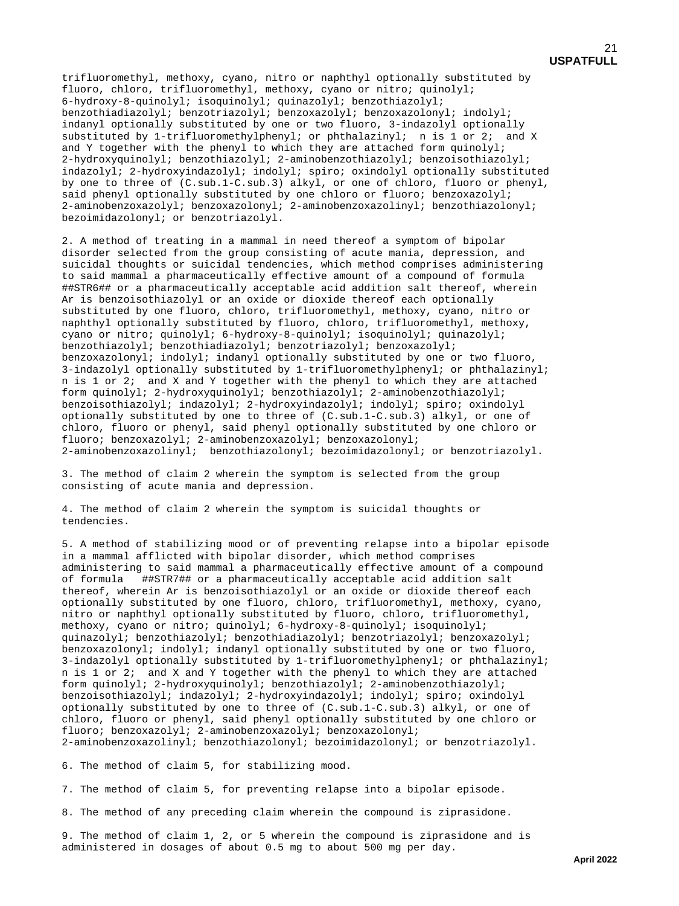trifluoromethyl, methoxy, cyano, nitro or naphthyl optionally substituted by fluoro, chloro, trifluoromethyl, methoxy, cyano or nitro; quinolyl; 6-hydroxy-8-quinolyl; isoquinolyl; quinazolyl; benzothiazolyl; benzothiadiazolyl; benzotriazolyl; benzoxazolyl; benzoxazolonyl; indolyl; indanyl optionally substituted by one or two fluoro, 3-indazolyl optionally substituted by 1-trifluoromethylphenyl; or phthalazinyl; n is 1 or 2; and X and Y together with the phenyl to which they are attached form  $quinoly$ ; 2-hydroxyquinolyl; benzothiazolyl; 2-aminobenzothiazolyl; benzoisothiazolyl; indazolyl; 2-hydroxyindazolyl; indolyl; spiro; oxindolyl optionally substituted by one to three of (C.sub.1-C.sub.3) alkyl, or one of chloro, fluoro or phenyl, said phenyl optionally substituted by one chloro or fluoro; benzoxazolyl; 2-aminobenzoxazolyl; benzoxazolonyl; 2-aminobenzoxazolinyl; benzothiazolonyl; bezoimidazolonyl; or benzotriazolyl.

2. A method of treating in a mammal in need thereof a symptom of bipolar disorder selected from the group consisting of acute mania, depression, and suicidal thoughts or suicidal tendencies, which method comprises administering to said mammal a pharmaceutically effective amount of a compound of formula ##STR6## or a pharmaceutically acceptable acid addition salt thereof, wherein Ar is benzoisothiazolyl or an oxide or dioxide thereof each optionally substituted by one fluoro, chloro, trifluoromethyl, methoxy, cyano, nitro or naphthyl optionally substituted by fluoro, chloro, trifluoromethyl, methoxy, cyano or nitro; quinolyl; 6-hydroxy-8-quinolyl; isoquinolyl; quinazolyl; benzothiazolyl; benzothiadiazolyl; benzotriazolyl; benzoxazolyl; benzoxazolonyl; indolyl; indanyl optionally substituted by one or two fluoro, 3-indazolyl optionally substituted by 1-trifluoromethylphenyl; or phthalazinyl; n is 1 or 2; and X and Y together with the phenyl to which they are attached form quinolyl; 2-hydroxyquinolyl; benzothiazolyl; 2-aminobenzothiazolyl; benzoisothiazolyl; indazolyl; 2-hydroxyindazolyl; indolyl; spiro; oxindolyl optionally substituted by one to three of (C.sub.1-C.sub.3) alkyl, or one of chloro, fluoro or phenyl, said phenyl optionally substituted by one chloro or fluoro; benzoxazolyl; 2-aminobenzoxazolyl; benzoxazolonyl; 2-aminobenzoxazolinyl; benzothiazolonyl; bezoimidazolonyl; or benzotriazolyl.

3. The method of claim 2 wherein the symptom is selected from the group consisting of acute mania and depression.

4. The method of claim 2 wherein the symptom is suicidal thoughts or tendencies.

5. A method of stabilizing mood or of preventing relapse into a bipolar episode in a mammal afflicted with bipolar disorder, which method comprises administering to said mammal a pharmaceutically effective amount of a compound of formula ##STR7## or a pharmaceutically acceptable acid addition salt ##STR7## or a pharmaceutically acceptable acid addition salt thereof, wherein Ar is benzoisothiazolyl or an oxide or dioxide thereof each optionally substituted by one fluoro, chloro, trifluoromethyl, methoxy, cyano, nitro or naphthyl optionally substituted by fluoro, chloro, trifluoromethyl, methoxy, cyano or nitro; quinolyl; 6-hydroxy-8-quinolyl; isoquinolyl; quinazolyl; benzothiazolyl; benzothiadiazolyl; benzotriazolyl; benzoxazolyl; benzoxazolonyl; indolyl; indanyl optionally substituted by one or two fluoro, 3-indazolyl optionally substituted by 1-trifluoromethylphenyl; or phthalazinyl; n is 1 or 2; and X and Y together with the phenyl to which they are attached form quinolyl; 2-hydroxyquinolyl; benzothiazolyl; 2-aminobenzothiazolyl; benzoisothiazolyl; indazolyl; 2-hydroxyindazolyl; indolyl; spiro; oxindolyl optionally substituted by one to three of (C.sub.1-C.sub.3) alkyl, or one of chloro, fluoro or phenyl, said phenyl optionally substituted by one chloro or fluoro; benzoxazolyl; 2-aminobenzoxazolyl; benzoxazolonyl; 2-aminobenzoxazolinyl; benzothiazolonyl; bezoimidazolonyl; or benzotriazolyl.

6. The method of claim 5, for stabilizing mood.

7. The method of claim 5, for preventing relapse into a bipolar episode.

8. The method of any preceding claim wherein the compound is ziprasidone.

9. The method of claim 1, 2, or 5 wherein the compound is ziprasidone and is administered in dosages of about 0.5 mg to about 500 mg per day.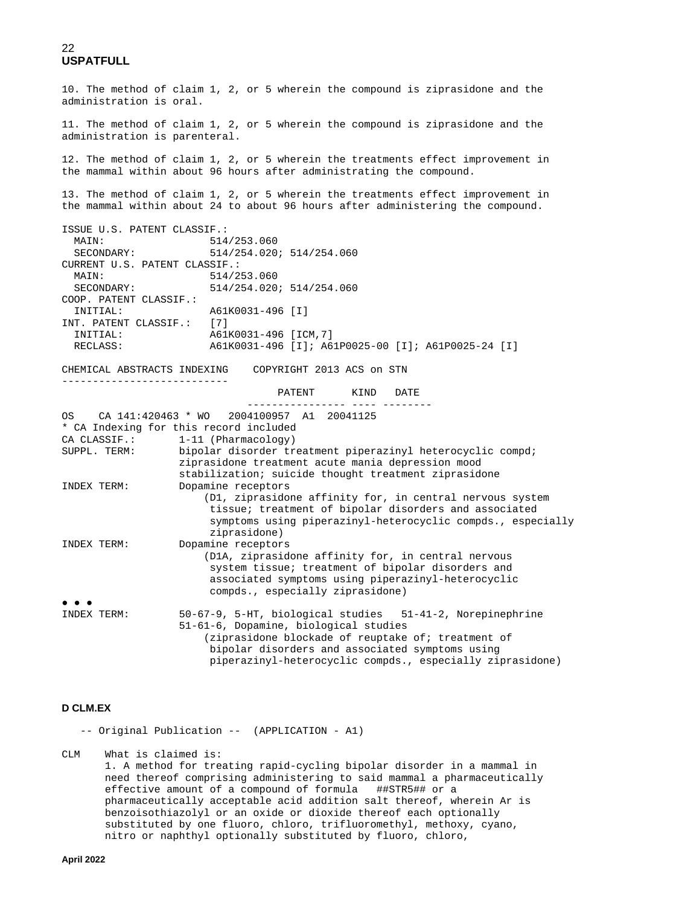10. The method of claim 1, 2, or 5 wherein the compound is ziprasidone and the administration is oral. 11. The method of claim 1, 2, or 5 wherein the compound is ziprasidone and the administration is parenteral. 12. The method of claim 1, 2, or 5 wherein the treatments effect improvement in the mammal within about 96 hours after administrating the compound. 13. The method of claim 1, 2, or 5 wherein the treatments effect improvement in the mammal within about 24 to about 96 hours after administering the compound. ISSUE U.S. PATENT CLASSIF.: MAIN: 514/253.060<br>SECONDARY: 514/254.020 SECONDARY: 514/254.020; 514/254.060 CURRENT U.S. PATENT CLASSIF.:<br>MAIN: 514/2 MAIN: 514/253.060<br>
SECONDARY: 514/254 020 SECONDARY: 514/254.020; 514/254.060 COOP. PATENT CLASSIF.: A61K0031-496 [I] INT. PATENT CLASSIF.: [7] INITIAL: <br>RECLASS: <br>A61K0031-496 [I]; A6 RECLASS: A61K0031-496 [I]; A61P0025-00 [I]; A61P0025-24 [I] CHEMICAL ABSTRACTS INDEXING COPYRIGHT 2013 ACS on STN --------------------------- PATENT KIND DATE ---------------- ---- -------- CA 141:420463 \* WO 2004100957 A1 20041125 \* CA Indexing for this record included CA CLASSIF.: 1-11 (Pharmacology)<br>SUPPL. TERM: bipolar disorder tr bipolar disorder treatment piperazinyl heterocyclic compd; ziprasidone treatment acute mania depression mood stabilization; suicide thought treatment ziprasidone INDEX TERM: Dopamine receptors (D1, ziprasidone affinity for, in central nervous system tissue; treatment of bipolar disorders and associated symptoms using piperazinyl-heterocyclic compds., especially ziprasidone) INDEX TERM: Dopamine receptors (D1A, ziprasidone affinity for, in central nervous system tissue; treatment of bipolar disorders and associated symptoms using piperazinyl-heterocyclic compds., especially ziprasidone) ● ● ●<br>INDEX TERM: 50-67-9, 5-HT, biological studies 51-41-2, Norepinephrine 51-61-6, Dopamine, biological studies (ziprasidone blockade of reuptake of; treatment of bipolar disorders and associated symptoms using piperazinyl-heterocyclic compds., especially ziprasidone)

### **D CLM.EX**

-- Original Publication -- (APPLICATION - A1)

 $CLM$ What is claimed is:

> 1. A method for treating rapid-cycling bipolar disorder in a mammal in need thereof comprising administering to said mammal a pharmaceutically effective amount of a compound of formula ##STR5## or a pharmaceutically acceptable acid addition salt thereof, wherein Ar is benzoisothiazolyl or an oxide or dioxide thereof each optionally substituted by one fluoro, chloro, trifluoromethyl, methoxy, cyano, nitro or naphthyl optionally substituted by fluoro, chloro,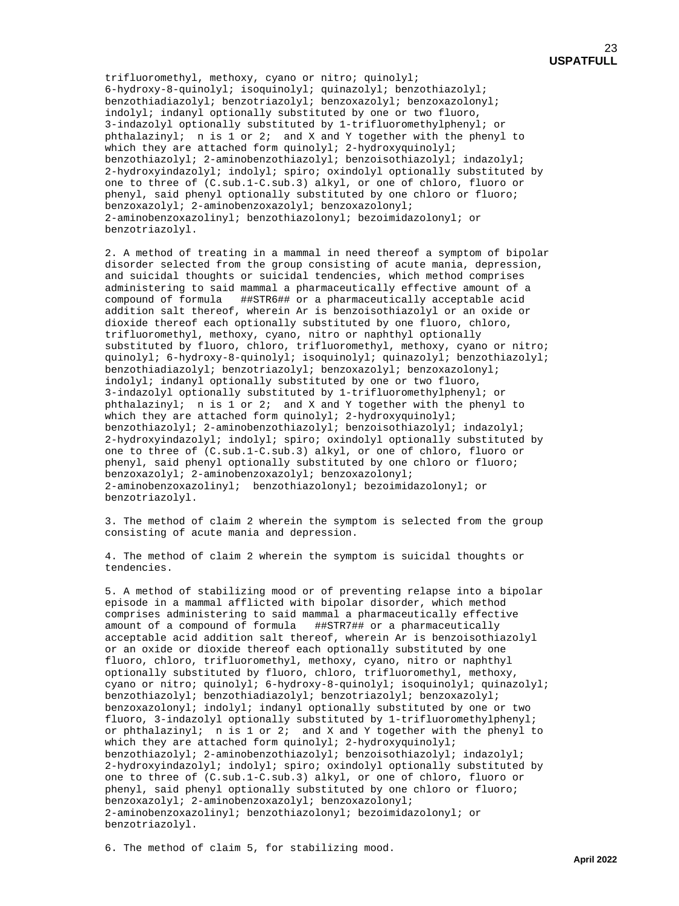trifluoromethyl, methoxy, cyano or nitro; quinolyl; 6-hydroxy-8-quinolyl; isoquinolyl; quinazolyl; benzothiazolyl; benzothiadiazolyl; benzotriazolyl; benzoxazolyl; benzoxazolonyl; indolyl; indanyl optionally substituted by one or two fluoro, 3-indazolyl optionally substituted by 1-trifluoromethylphenyl; or phthalazinyl; n is 1 or 2; and X and Y together with the phenyl to which they are attached form quinolyl; 2-hydroxyquinolyl; benzothiazolyl; 2-aminobenzothiazolyl; benzoisothiazolyl; indazolyl; 2-hydroxyindazolyl; indolyl; spiro; oxindolyl optionally substituted by one to three of (C.sub.1-C.sub.3) alkyl, or one of chloro, fluoro or phenyl, said phenyl optionally substituted by one chloro or fluoro; benzoxazolyl; 2-aminobenzoxazolyl; benzoxazolonyl; 2-aminobenzoxazolinyl; benzothiazolonyl; bezoimidazolonyl; or benzotriazolyl.

 2. A method of treating in a mammal in need thereof a symptom of bipolar disorder selected from the group consisting of acute mania, depression, and suicidal thoughts or suicidal tendencies, which method comprises administering to said mammal a pharmaceutically effective amount of a compound of formula ##STR6## or a pharmaceutically acceptable acid addition salt thereof, wherein Ar is benzoisothiazolyl or an oxide or dioxide thereof each optionally substituted by one fluoro, chloro, trifluoromethyl, methoxy, cyano, nitro or naphthyl optionally substituted by fluoro, chloro, trifluoromethyl, methoxy, cyano or nitro; quinolyl; 6-hydroxy-8-quinolyl; isoquinolyl; quinazolyl; benzothiazolyl; benzothiadiazolyl; benzotriazolyl; benzoxazolyl; benzoxazolonyl; indolyl; indanyl optionally substituted by one or two fluoro, 3-indazolyl optionally substituted by 1-trifluoromethylphenyl; or phthalazinyl; n is 1 or 2; and X and Y together with the phenyl to which they are attached form quinolyl; 2-hydroxyquinolyl; benzothiazolyl; 2-aminobenzothiazolyl; benzoisothiazolyl; indazolyl; 2-hydroxyindazolyl; indolyl; spiro; oxindolyl optionally substituted by one to three of (C.sub.1-C.sub.3) alkyl, or one of chloro, fluoro or phenyl, said phenyl optionally substituted by one chloro or fluoro; benzoxazolyl; 2-aminobenzoxazolyl; benzoxazolonyl; 2-aminobenzoxazolinyl; benzothiazolonyl; bezoimidazolonyl; or benzotriazolyl.

 3. The method of claim 2 wherein the symptom is selected from the group consisting of acute mania and depression.

 4. The method of claim 2 wherein the symptom is suicidal thoughts or tendencies.

 5. A method of stabilizing mood or of preventing relapse into a bipolar episode in a mammal afflicted with bipolar disorder, which method comprises administering to said mammal a pharmaceutically effective amount of a compound of formula ##STR7## or a pharmaceutically acceptable acid addition salt thereof, wherein Ar is benzoisothiazolyl or an oxide or dioxide thereof each optionally substituted by one fluoro, chloro, trifluoromethyl, methoxy, cyano, nitro or naphthyl optionally substituted by fluoro, chloro, trifluoromethyl, methoxy, cyano or nitro; quinolyl; 6-hydroxy-8-quinolyl; isoquinolyl; quinazolyl; benzothiazolyl; benzothiadiazolyl; benzotriazolyl; benzoxazolyl; benzoxazolonyl; indolyl; indanyl optionally substituted by one or two fluoro, 3-indazolyl optionally substituted by 1-trifluoromethylphenyl; or phthalazinyl; n is  $1$  or  $2$ ; and X and Y together with the phenyl to which they are attached form quinolyl; 2-hydroxyquinolyl; benzothiazolyl; 2-aminobenzothiazolyl; benzoisothiazolyl; indazolyl; 2-hydroxyindazolyl; indolyl; spiro; oxindolyl optionally substituted by one to three of (C.sub.1-C.sub.3) alkyl, or one of chloro, fluoro or phenyl, said phenyl optionally substituted by one chloro or fluoro; benzoxazolyl; 2-aminobenzoxazolyl; benzoxazolonyl; 2-aminobenzoxazolinyl; benzothiazolonyl; bezoimidazolonyl; or benzotriazolyl.

6. The method of claim 5, for stabilizing mood.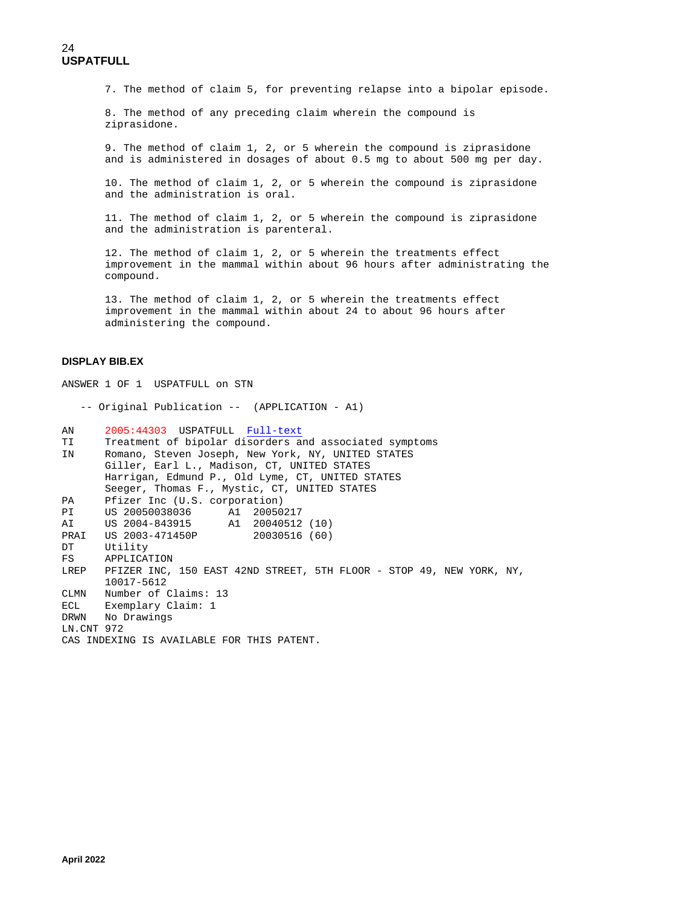7. The method of claim 5, for preventing relapse into a bipolar episode.

 8. The method of any preceding claim wherein the compound is ziprasidone.

 9. The method of claim 1, 2, or 5 wherein the compound is ziprasidone and is administered in dosages of about 0.5 mg to about 500 mg per day.

 10. The method of claim 1, 2, or 5 wherein the compound is ziprasidone and the administration is oral.

 11. The method of claim 1, 2, or 5 wherein the compound is ziprasidone and the administration is parenteral.

 12. The method of claim 1, 2, or 5 wherein the treatments effect improvement in the mammal within about 96 hours after administrating the compound.

 13. The method of claim 1, 2, or 5 wherein the treatments effect improvement in the mammal within about 24 to about 96 hours after administering the compound.

### **DISPLAY BIB.EX**

ANSWER 1 OF 1 USPATFULL on STN -- Original Publication -- (APPLICATION - A1) AN 2005:44303 USPATFULL [Full-text](http://chemport.cas.org/cgi-bin/ex_sdcgi?w4xMVWOlK7j6BkzKFLBRpgPSJD63bNf7R@WRLucXBhtjDKVvQ6tZEEiQ5sOvEqfCQyc5_ATW6KvuFpxpJKL01gZG85ij@PqDrW6_qgOFuwMDDWadVptSyn7VJpx5ekXAv46V5ACXKVF_4_grRfAY86Y2SuVDdB@7hwRQrFi2tYQgTk_iPPV1qFzJE6A37hnspmX)<br>TI Treatment of bipolar disorders at TI Treatment of bipolar disorders and associated symptoms<br>IN Romano, Steven Joseph, New York, NY, INITED STATES Romano, Steven Joseph, New York, NY, UNITED STATES Giller, Earl L., Madison, CT, UNITED STATES Harrigan, Edmund P., Old Lyme, CT, UNITED STATES Seeger, Thomas F., Mystic, CT, UNITED STATES<br>PA Pfizer Inc (U.S. corporation) PA Pfizer Inc (U.S. corporation)<br>PI US 20050038036 Al 20050 A1 20050217<br>A1 20040512 (10) AI US 2004-843915 A1 20040512 (10)<br>PRAI US 2003-471450P 20030516 (60) PRAI US 2003-471450P<br>DT Utility DT Utility<br>FS APPLICAT APPLICATION LREP PFIZER INC, 150 EAST 42ND STREET, 5TH FLOOR - STOP 49, NEW YORK, NY, 10017-5612 CLMN Number of Claims: 13 ECL Exemplary Claim: 1<br>DRWN No Drawings No Drawings LN.CNT 972 CAS INDEXING IS AVAILABLE FOR THIS PATENT.